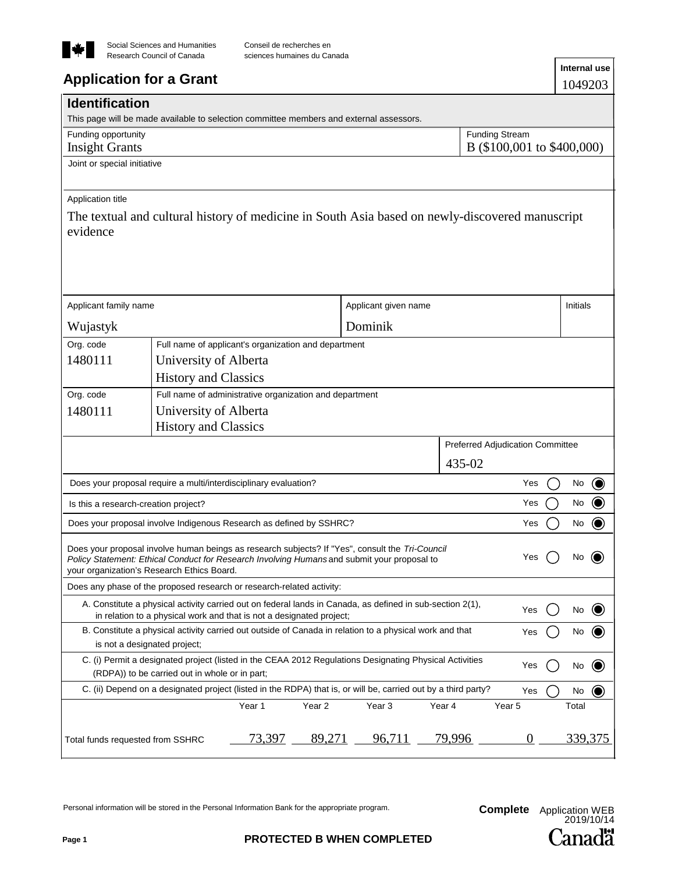

# **Application for a Grant**

| Application for a Grant                                                                                                                                                                                                                      |                                                                                                                                                                                   |               |                   |                      |        |        |                                                     | 1049203                        |
|----------------------------------------------------------------------------------------------------------------------------------------------------------------------------------------------------------------------------------------------|-----------------------------------------------------------------------------------------------------------------------------------------------------------------------------------|---------------|-------------------|----------------------|--------|--------|-----------------------------------------------------|--------------------------------|
| <b>Identification</b><br>This page will be made available to selection committee members and external assessors.                                                                                                                             |                                                                                                                                                                                   |               |                   |                      |        |        |                                                     |                                |
| Funding opportunity<br><b>Insight Grants</b>                                                                                                                                                                                                 |                                                                                                                                                                                   |               |                   |                      |        |        | <b>Funding Stream</b><br>B (\$100,001 to \$400,000) |                                |
| Joint or special initiative                                                                                                                                                                                                                  |                                                                                                                                                                                   |               |                   |                      |        |        |                                                     |                                |
| Application title                                                                                                                                                                                                                            |                                                                                                                                                                                   |               |                   |                      |        |        |                                                     |                                |
| The textual and cultural history of medicine in South Asia based on newly-discovered manuscript<br>evidence                                                                                                                                  |                                                                                                                                                                                   |               |                   |                      |        |        |                                                     |                                |
| Applicant family name                                                                                                                                                                                                                        |                                                                                                                                                                                   |               |                   | Applicant given name |        |        |                                                     | Initials                       |
| Wujastyk                                                                                                                                                                                                                                     |                                                                                                                                                                                   |               |                   | Dominik              |        |        |                                                     |                                |
| Org. code                                                                                                                                                                                                                                    | Full name of applicant's organization and department                                                                                                                              |               |                   |                      |        |        |                                                     |                                |
| 1480111                                                                                                                                                                                                                                      | University of Alberta                                                                                                                                                             |               |                   |                      |        |        |                                                     |                                |
|                                                                                                                                                                                                                                              | <b>History and Classics</b>                                                                                                                                                       |               |                   |                      |        |        |                                                     |                                |
| Org. code                                                                                                                                                                                                                                    | Full name of administrative organization and department                                                                                                                           |               |                   |                      |        |        |                                                     |                                |
| 1480111                                                                                                                                                                                                                                      | University of Alberta                                                                                                                                                             |               |                   |                      |        |        |                                                     |                                |
|                                                                                                                                                                                                                                              | <b>History and Classics</b>                                                                                                                                                       |               |                   |                      |        |        |                                                     |                                |
|                                                                                                                                                                                                                                              |                                                                                                                                                                                   |               |                   |                      |        |        | Preferred Adjudication Committee                    |                                |
|                                                                                                                                                                                                                                              |                                                                                                                                                                                   |               |                   |                      |        | 435-02 |                                                     |                                |
| Does your proposal require a multi/interdisciplinary evaluation?                                                                                                                                                                             |                                                                                                                                                                                   |               |                   |                      |        |        | Yes                                                 | $\odot$<br>No                  |
| Is this a research-creation project?                                                                                                                                                                                                         |                                                                                                                                                                                   |               |                   |                      |        |        | Yes                                                 | No<br>$\bf O$                  |
| Does your proposal involve Indigenous Research as defined by SSHRC?                                                                                                                                                                          |                                                                                                                                                                                   |               |                   |                      |        |        | Yes                                                 | No<br>$\left( \bullet \right)$ |
| Does your proposal involve human beings as research subjects? If "Yes", consult the Tri-Council<br>Policy Statement: Ethical Conduct for Research Involving Humans and submit your proposal to<br>your organization's Research Ethics Board. |                                                                                                                                                                                   |               |                   |                      |        |        | Yes                                                 | No                             |
| Does any phase of the proposed research or research-related activity:                                                                                                                                                                        |                                                                                                                                                                                   |               |                   |                      |        |        |                                                     |                                |
|                                                                                                                                                                                                                                              | A. Constitute a physical activity carried out on federal lands in Canada, as defined in sub-section 2(1),<br>in relation to a physical work and that is not a designated project; |               |                   |                      |        |        | Yes                                                 | No                             |
|                                                                                                                                                                                                                                              | B. Constitute a physical activity carried out outside of Canada in relation to a physical work and that                                                                           |               |                   |                      |        |        | Yes                                                 | No                             |
| is not a designated project;                                                                                                                                                                                                                 |                                                                                                                                                                                   |               |                   |                      |        |        |                                                     |                                |
|                                                                                                                                                                                                                                              | C. (i) Permit a designated project (listed in the CEAA 2012 Regulations Designating Physical Activities                                                                           |               |                   |                      |        |        | Yes                                                 | No                             |
|                                                                                                                                                                                                                                              | (RDPA)) to be carried out in whole or in part;<br>C. (ii) Depend on a designated project (listed in the RDPA) that is, or will be, carried out by a third party?                  |               |                   |                      |        |        |                                                     |                                |
|                                                                                                                                                                                                                                              |                                                                                                                                                                                   | Year 1        | Year <sub>2</sub> | Year <sub>3</sub>    | Year 4 |        | Yes<br>Year 5                                       | No<br>Total                    |
|                                                                                                                                                                                                                                              |                                                                                                                                                                                   |               |                   |                      |        |        |                                                     |                                |
| Total funds requested from SSHRC                                                                                                                                                                                                             |                                                                                                                                                                                   | <u>73,397</u> | 89,271            | <u>96,711</u>        |        | 79,996 | $\theta$                                            | 339,375                        |

Personal information will be stored in the Personal Information Bank for the appropriate program.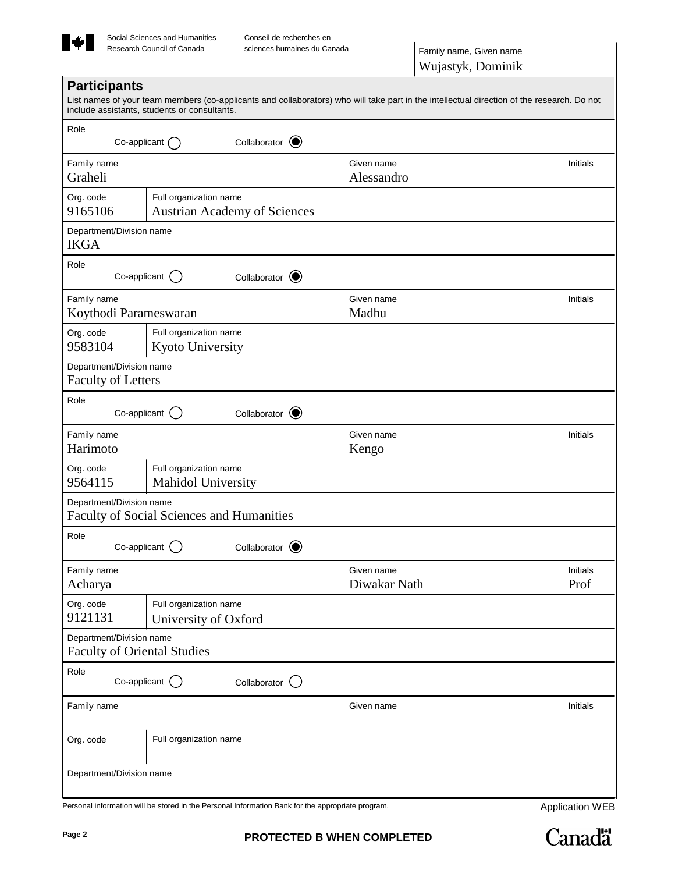

| <b>Participants</b>                                            | include assistants, students or consultants.                  | List names of your team members (co-applicants and collaborators) who will take part in the intellectual direction of the research. Do not |                  |  |  |  |  |  |  |
|----------------------------------------------------------------|---------------------------------------------------------------|--------------------------------------------------------------------------------------------------------------------------------------------|------------------|--|--|--|--|--|--|
| Role                                                           | Collaborator <sup>(0)</sup><br>Co-applicant $\bigcap$         |                                                                                                                                            |                  |  |  |  |  |  |  |
| Family name<br>Graheli                                         |                                                               | Given name<br>Alessandro                                                                                                                   | Initials         |  |  |  |  |  |  |
| Org. code<br>9165106                                           | Full organization name<br><b>Austrian Academy of Sciences</b> |                                                                                                                                            |                  |  |  |  |  |  |  |
| Department/Division name<br><b>IKGA</b>                        |                                                               |                                                                                                                                            |                  |  |  |  |  |  |  |
| Role                                                           | Co-applicant ()<br>$\odot$<br>Collaborator                    |                                                                                                                                            |                  |  |  |  |  |  |  |
| Family name<br>Koythodi Parameswaran                           |                                                               | Given name<br>Madhu                                                                                                                        | Initials         |  |  |  |  |  |  |
| Org. code<br>9583104                                           | Full organization name<br>Kyoto University                    |                                                                                                                                            |                  |  |  |  |  |  |  |
| Department/Division name<br><b>Faculty of Letters</b>          |                                                               |                                                                                                                                            |                  |  |  |  |  |  |  |
| Role<br>Co-applicant                                           | Collaborator $\bigcirc$                                       |                                                                                                                                            |                  |  |  |  |  |  |  |
| Family name<br>Harimoto                                        |                                                               | Given name<br>Kengo                                                                                                                        | Initials         |  |  |  |  |  |  |
| Org. code<br>9564115                                           | Full organization name<br>Mahidol University                  |                                                                                                                                            |                  |  |  |  |  |  |  |
| Department/Division name                                       | <b>Faculty of Social Sciences and Humanities</b>              |                                                                                                                                            |                  |  |  |  |  |  |  |
| Role<br>Co-applicant                                           | Collaborator<br>$\odot$                                       |                                                                                                                                            |                  |  |  |  |  |  |  |
| Family name<br>Acharya                                         |                                                               | Given name<br>Diwakar Nath                                                                                                                 | Initials<br>Prof |  |  |  |  |  |  |
| Org. code<br>9121131                                           | Full organization name<br>University of Oxford                |                                                                                                                                            |                  |  |  |  |  |  |  |
| Department/Division name<br><b>Faculty of Oriental Studies</b> |                                                               |                                                                                                                                            |                  |  |  |  |  |  |  |
| Role                                                           | Co-applicant ()<br>Collaborator                               |                                                                                                                                            |                  |  |  |  |  |  |  |
| Family name                                                    |                                                               | Given name                                                                                                                                 | Initials         |  |  |  |  |  |  |
| Org. code                                                      | Full organization name                                        |                                                                                                                                            |                  |  |  |  |  |  |  |
| Department/Division name                                       |                                                               |                                                                                                                                            |                  |  |  |  |  |  |  |

Personal information will be stored in the Personal Information Bank for the appropriate program. Application WEB

**Canadä**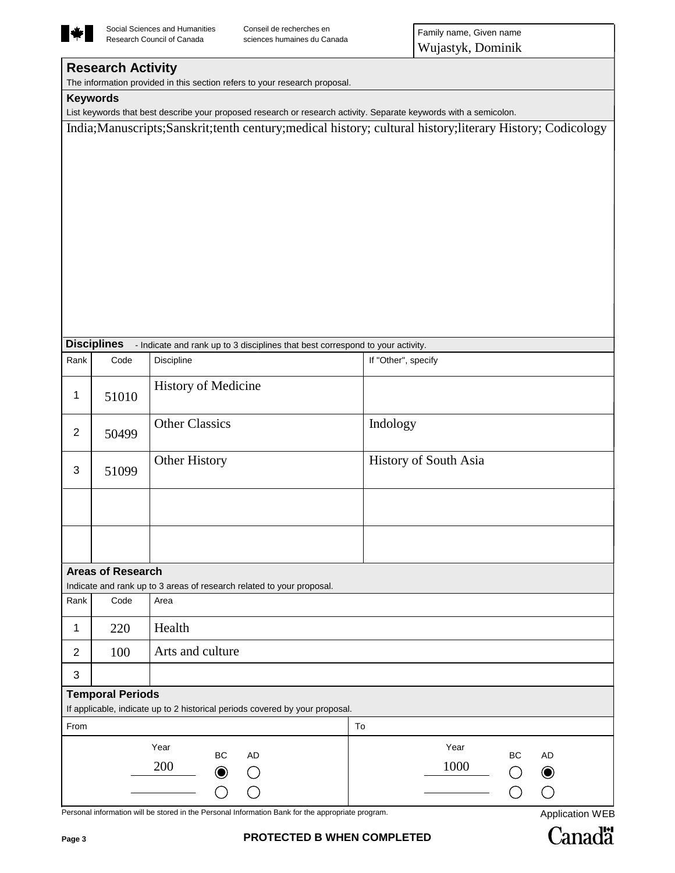

### The information provided in this section refers to your research proposal.

**Research Activity**

#### **Keywords**

List keywords that best describe your proposed research or research activity. Separate keywords with a semicolon.

India;Manuscripts;Sanskrit;tenth century;medical history; cultural history;literary History; Codicology

|                | <b>Disciplines</b>       | - Indicate and rank up to 3 disciplines that best correspond to your activity.                    |                       |                                                        |
|----------------|--------------------------|---------------------------------------------------------------------------------------------------|-----------------------|--------------------------------------------------------|
| Rank           | Code                     | <b>Discipline</b>                                                                                 | If "Other", specify   |                                                        |
| 1              | 51010                    | History of Medicine                                                                               |                       |                                                        |
| $\overline{2}$ | 50499                    | <b>Other Classics</b>                                                                             | Indology              |                                                        |
| 3              | 51099                    | Other History                                                                                     | History of South Asia |                                                        |
|                |                          |                                                                                                   |                       |                                                        |
|                |                          |                                                                                                   |                       |                                                        |
|                | <b>Areas of Research</b> |                                                                                                   |                       |                                                        |
|                |                          | Indicate and rank up to 3 areas of research related to your proposal.                             |                       |                                                        |
| Rank           | Code                     | Area                                                                                              |                       |                                                        |
| 1              | 220                      | Health                                                                                            |                       |                                                        |
| $\overline{2}$ | 100                      | Arts and culture                                                                                  |                       |                                                        |
| 3              |                          |                                                                                                   |                       |                                                        |
|                | <b>Temporal Periods</b>  |                                                                                                   |                       |                                                        |
|                |                          | If applicable, indicate up to 2 historical periods covered by your proposal.                      |                       |                                                        |
| From           |                          |                                                                                                   | To                    |                                                        |
|                |                          | Year<br><b>AD</b><br>ВC<br>200<br>$\bullet$<br>$\bigcirc$<br>◯                                    | Year<br>1000          | <b>AD</b><br>ВC<br>$\bullet$<br>$\left(\ \right)$<br>◯ |
|                |                          | Personal information will be stored in the Personal Information Bank for the appropriate program. |                       | <b>Application WEB</b>                                 |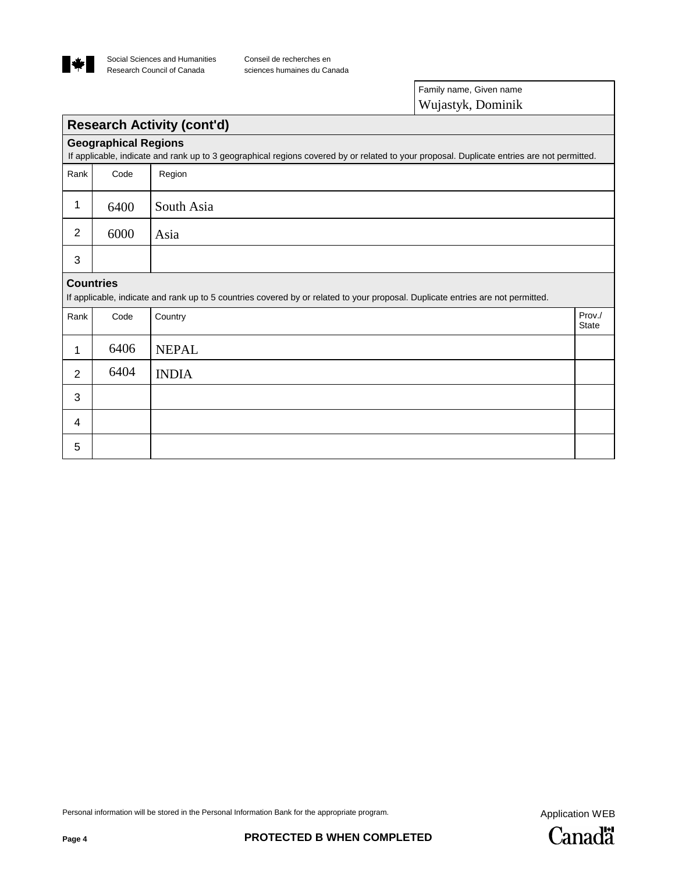

Conseil de recherches en sciences humaines du Canada

> Family name, Given name Wujastyk, Dominik

#### INDIA NEPAL Asia South Asia **Research Activity (cont'd) Geographical Regions** If applicable, indicate and rank up to 3 geographical regions covered by or related to your proposal. Duplicate entries are not permitted. Rank Code Region 1 2 3 1 2 3 **Countries** If applicable, indicate and rank up to 5 countries covered by or related to your proposal. Duplicate entries are not permitted. Rank Code 4 5 6400 6000 6406 6404 **Country Prov./** Prov./ State

Personal information will be stored in the Personal Information Bank for the appropriate program.<br>
Application WEB

**Canadä** 

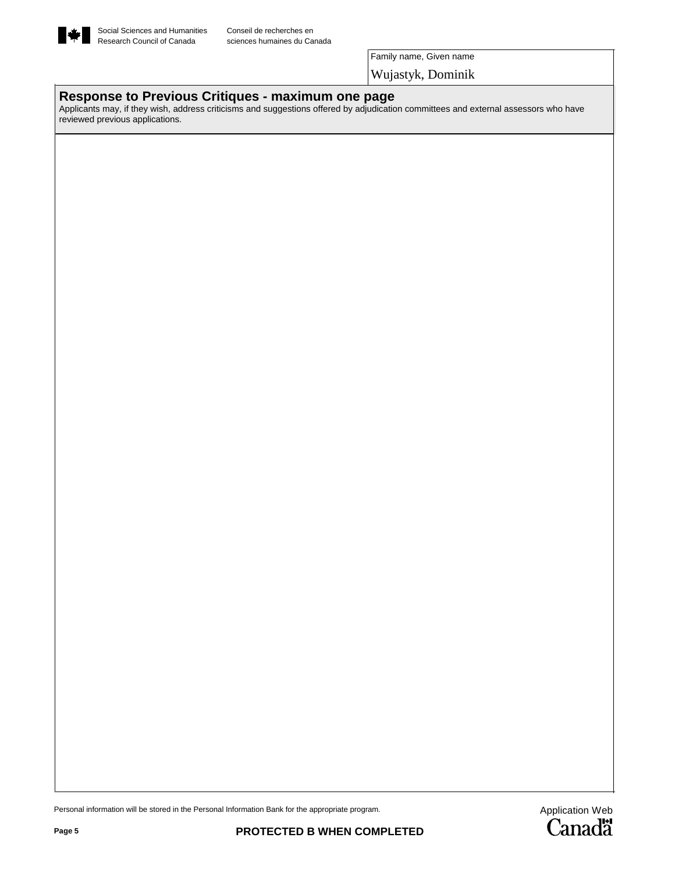

Family name, Given name Wujastyk, Dominik

#### **Response to Previous Critiques - maximum one page**

Applicants may, if they wish, address criticisms and suggestions offered by adjudication committees and external assessors who have reviewed previous applications.

Personal information will be stored in the Personal Information Bank for the appropriate program.<br>PROTECTED B WHEN COMPLETED<br>PROTECTED B WHEN COMPLETED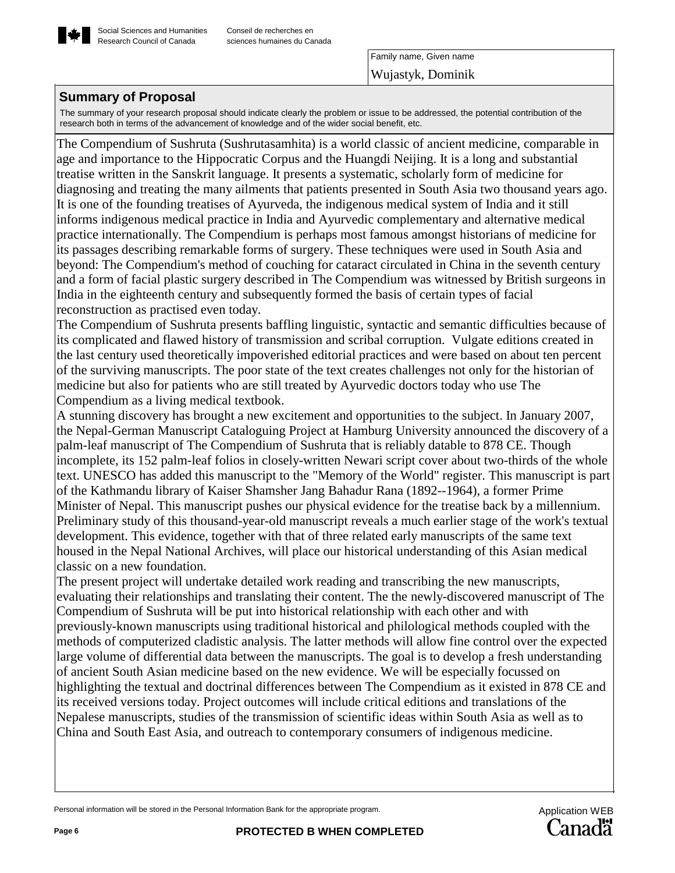

Family name, Given name Wujastyk, Dominik

## **Summary of Proposal**

The summary of your research proposal should indicate clearly the problem or issue to be addressed, the potential contribution of the research both in terms of the advancement of knowledge and of the wider social benefit, etc.

The Compendium of Sushruta (Sushrutasamhita) is a world classic of ancient medicine, comparable in age and importance to the Hippocratic Corpus and the Huangdi Neijing. It is a long and substantial treatise written in the Sanskrit language. It presents a systematic, scholarly form of medicine for diagnosing and treating the many ailments that patients presented in South Asia two thousand years ago. It is one of the founding treatises of Ayurveda, the indigenous medical system of India and it still informs indigenous medical practice in India and Ayurvedic complementary and alternative medical practice internationally. The Compendium is perhaps most famous amongst historians of medicine for its passages describing remarkable forms of surgery. These techniques were used in South Asia and beyond: The Compendium's method of couching for cataract circulated in China in the seventh century and a form of facial plastic surgery described in The Compendium was witnessed by British surgeons in India in the eighteenth century and subsequently formed the basis of certain types of facial reconstruction as practised even today.

The Compendium of Sushruta presents baffling linguistic, syntactic and semantic difficulties because of its complicated and flawed history of transmission and scribal corruption. Vulgate editions created in the last century used theoretically impoverished editorial practices and were based on about ten percent of the surviving manuscripts. The poor state of the text creates challenges not only for the historian of medicine but also for patients who are still treated by Ayurvedic doctors today who use The Compendium as a living medical textbook.

A stunning discovery has brought a new excitement and opportunities to the subject. In January 2007, the Nepal-German Manuscript Cataloguing Project at Hamburg University announced the discovery of a palm-leaf manuscript of The Compendium of Sushruta that is reliably datable to 878 CE. Though incomplete, its 152 palm-leaf folios in closely-written Newari script cover about two-thirds of the whole text. UNESCO has added this manuscript to the "Memory of the World" register. This manuscript is part of the Kathmandu library of Kaiser Shamsher Jang Bahadur Rana (1892--1964), a former Prime Minister of Nepal. This manuscript pushes our physical evidence for the treatise back by a millennium. Preliminary study of this thousand-year-old manuscript reveals a much earlier stage of the work's textual development. This evidence, together with that of three related early manuscripts of the same text housed in the Nepal National Archives, will place our historical understanding of this Asian medical classic on a new foundation.

The present project will undertake detailed work reading and transcribing the new manuscripts, evaluating their relationships and translating their content. The the newly-discovered manuscript of The Compendium of Sushruta will be put into historical relationship with each other and with previously-known manuscripts using traditional historical and philological methods coupled with the methods of computerized cladistic analysis. The latter methods will allow fine control over the expected large volume of differential data between the manuscripts. The goal is to develop a fresh understanding of ancient South Asian medicine based on the new evidence. We will be especially focussed on highlighting the textual and doctrinal differences between The Compendium as it existed in 878 CE and its received versions today. Project outcomes will include critical editions and translations of the Nepalese manuscripts, studies of the transmission of scientific ideas within South Asia as well as to China and South East Asia, and outreach to contemporary consumers of indigenous medicine.

Personal information will be stored in the Personal Information Bank for the appropriate program.

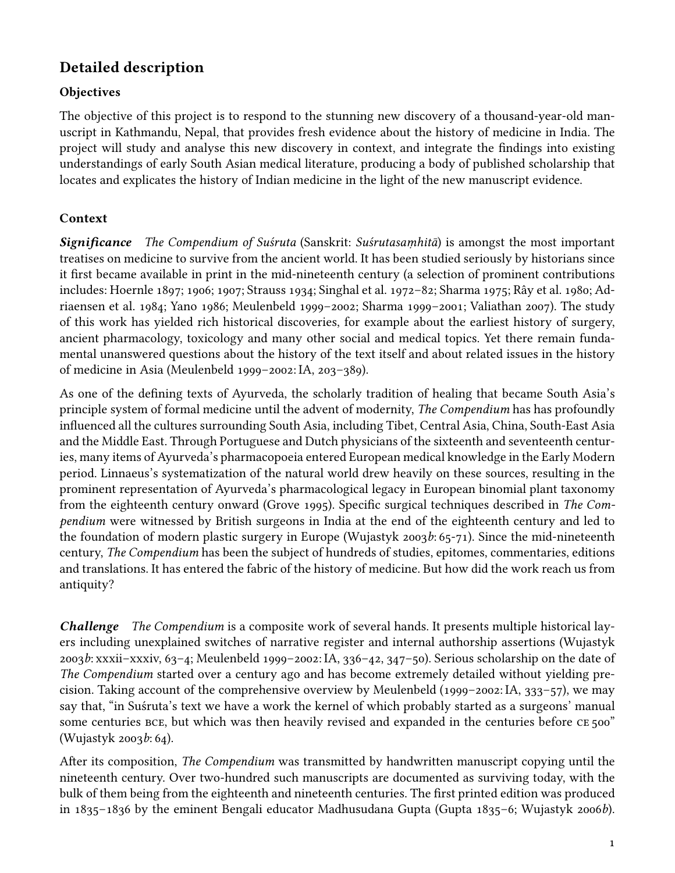# **Detailed description**

# **Objectives**

The objective of this project is to respond to the stunning new discovery of a thousand-year-old manuscript in Kathmandu, Nepal, that provides fresh evidence about the history of medicine in India. The project will study and analyse this new discovery in context, and integrate the findings into existing understandings of early South Asian medical literature, producing a body of published scholarship that locates and explicates the history of Indian medicine in the light of the new manuscript evidence.

# **Context**

*Significance The Compendium of Suśruta* (Sanskrit: *Suśrutasaṃhitā*) is amongst the most important treatises on medicine to survive from the ancient world. It has been studied seriously by historians since it first became available in print in the mid-nineteenth century (a selection of prominent contributions includes: Hoernle 1897; 1906; 1907; Strauss 1934; Singhal et al. 1972–82; Sharma 1975; Rây et al. 1980; Adriaensen et al. 1984; Yano 1986; Meulenbeld 1999–2002; Sharma 1999–2001; Valiathan 2007). The study of this work has yielded rich historical discoveries, for example about the earliest history of surgery, ancient pharmacology, toxicology and many other social and medical topics. Yet there remain fundamental unanswered questions about the history of the text itself and about related issues in the history of medicine in Asia (Meulenbeld 1999–2002: IA, 203–389).

As one of the defining texts of Ayurveda, the scholarly tradition of healing that became South Asia's principle system of formal medicine until the advent of modernity, *The Compendium* has has profoundly influenced all the cultures surrounding South Asia, including Tibet, Central Asia, China, South-East Asia and the Middle East. Through Portuguese and Dutch physicians of the sixteenth and seventeenth centuries, many items of Ayurveda's pharmacopoeia entered European medical knowledge in the Early Modern period. Linnaeus's systematization of the natural world drew heavily on these sources, resulting in the prominent representation of Ayurveda's pharmacological legacy in European binomial plant taxonomy from the eighteenth century onward (Grove 1995). Specific surgical techniques described in *The Compendium* were witnessed by British surgeons in India at the end of the eighteenth century and led to the foundation of modern plastic surgery in Europe (Wujastyk 2003*b*: 65-71). Since the mid-nineteenth century, *The Compendium* has been the subject of hundreds of studies, epitomes, commentaries, editions and translations. It has entered the fabric of the history of medicine. But how did the work reach us from antiquity?

*Challenge The Compendium* is a composite work of several hands. It presents multiple historical layers including unexplained switches of narrative register and internal authorship assertions (Wujastyk 2003*b*: xxxii–xxxiv, 63–4; Meulenbeld 1999–2002: IA, 336–42, 347–50). Serious scholarship on the date of *The Compendium* started over a century ago and has become extremely detailed without yielding precision. Taking account of the comprehensive overview by Meulenbeld (1999–2002: IA, 333–57), we may say that, "in Suśruta's text we have a work the kernel of which probably started as a surgeons' manual some centuries BCE, but which was then heavily revised and expanded in the centuries before CE 500" (Wujastyk 2003*b*: 64).

After its composition, *The Compendium* was transmitted by handwritten manuscript copying until the nineteenth century. Over two-hundred such manuscripts are documented as surviving today, with the bulk of them being from the eighteenth and nineteenth centuries. The first printed edition was produced in 1835–1836 by the eminent Bengali educator Madhusudana Gupta (Gupta 1835–6; Wujastyk 2006*b*).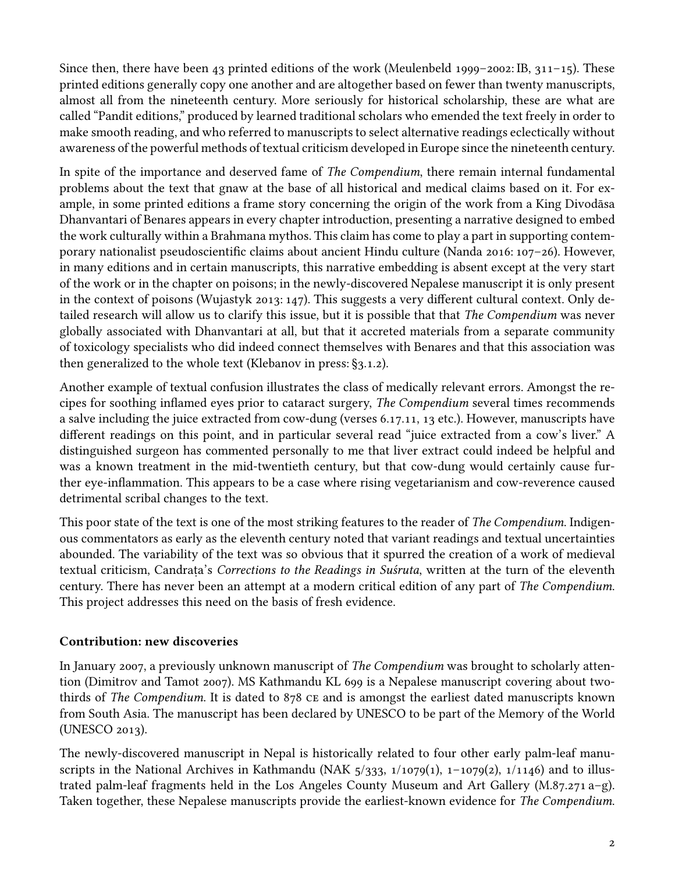Since then, there have been 43 printed editions of the work (Meulenbeld 1999–2002: IB,  $311-15$ ). These printed editions generally copy one another and are altogether based on fewer than twenty manuscripts, almost all from the nineteenth century. More seriously for historical scholarship, these are what are called "Pandit editions," produced by learned traditional scholars who emended the text freely in order to make smooth reading, and who referred to manuscripts to select alternative readings eclectically without awareness of the powerful methods of textual criticism developed in Europe since the nineteenth century.

In spite of the importance and deserved fame of *The Compendium*, there remain internal fundamental problems about the text that gnaw at the base of all historical and medical claims based on it. For example, in some printed editions a frame story concerning the origin of the work from a King Divodāsa Dhanvantari of Benares appears in every chapter introduction, presenting a narrative designed to embed the work culturally within a Brahmana mythos. This claim has come to play a part in supporting contemporary nationalist pseudoscientific claims about ancient Hindu culture (Nanda 2016: 107–26). However, in many editions and in certain manuscripts, this narrative embedding is absent except at the very start of the work or in the chapter on poisons; in the newly-discovered Nepalese manuscript it is only present in the context of poisons (Wujastyk 2013: 147). This suggests a very different cultural context. Only detailed research will allow us to clarify this issue, but it is possible that that *The Compendium* was never globally associated with Dhanvantari at all, but that it accreted materials from a separate community of toxicology specialists who did indeed connect themselves with Benares and that this association was then generalized to the whole text (Klebanov in press: §3.1.2).

Another example of textual confusion illustrates the class of medically relevant errors. Amongst the recipes for soothing inflamed eyes prior to cataract surgery, *The Compendium* several times recommends a salve including the juice extracted from cow-dung (verses 6.17.11, 13 etc.). However, manuscripts have different readings on this point, and in particular several read "juice extracted from a cow's liver." A distinguished surgeon has commented personally to me that liver extract could indeed be helpful and was a known treatment in the mid-twentieth century, but that cow-dung would certainly cause further eye-inflammation. This appears to be a case where rising vegetarianism and cow-reverence caused detrimental scribal changes to the text.

This poor state of the text is one of the most striking features to the reader of *The Compendium*. Indigenous commentators as early as the eleventh century noted that variant readings and textual uncertainties abounded. The variability of the text was so obvious that it spurred the creation of a work of medieval textual criticism, Candraṭa's *Corrections to the Readings in Suśruta*, written at the turn of the eleventh century. There has never been an attempt at a modern critical edition of any part of *The Compendium*. This project addresses this need on the basis of fresh evidence.

### **Contribution: new discoveries**

In January 2007, a previously unknown manuscript of *The Compendium* was brought to scholarly attention (Dimitrov and Tamot 2007). MS Kathmandu KL 699 is a Nepalese manuscript covering about twothirds of *The Compendium*. It is dated to 878 ce and is amongst the earliest dated manuscripts known from South Asia. The manuscript has been declared by UNESCO to be part of the Memory of the World (UNESCO 2013).

The newly-discovered manuscript in Nepal is historically related to four other early palm-leaf manuscripts in the National Archives in Kathmandu (NAK  $5/333$ ,  $1/1079(1)$ ,  $1-1079(2)$ ,  $1/1146$ ) and to illustrated palm-leaf fragments held in the Los Angeles County Museum and Art Gallery (M.87.271 a–g). Taken together, these Nepalese manuscripts provide the earliest-known evidence for *The Compendium*.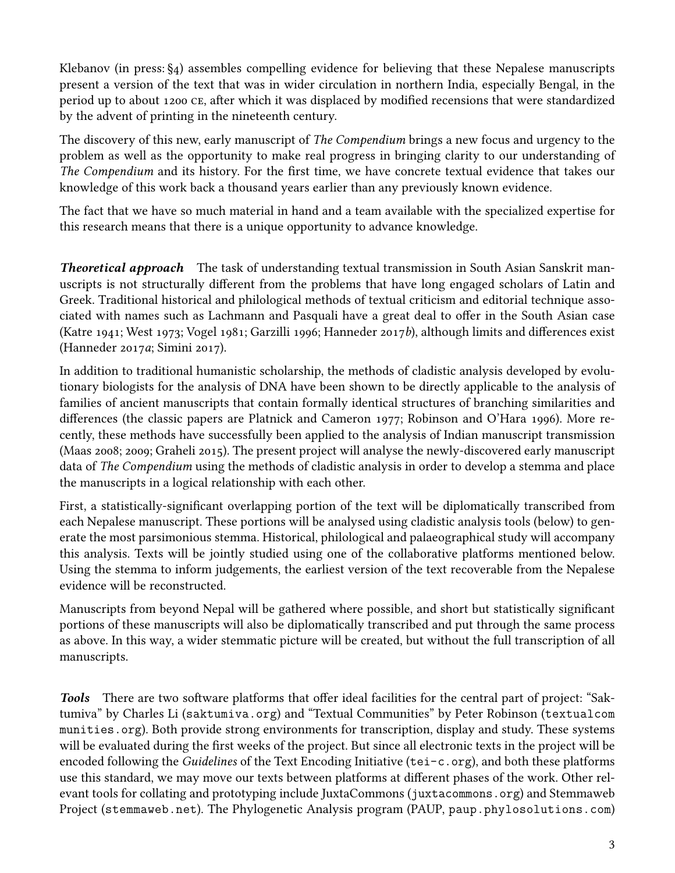Klebanov (in press: §4) assembles compelling evidence for believing that these Nepalese manuscripts present a version of the text that was in wider circulation in northern India, especially Bengal, in the period up to about 1200 ce, after which it was displaced by modified recensions that were standardized by the advent of printing in the nineteenth century.

The discovery of this new, early manuscript of *The Compendium* brings a new focus and urgency to the problem as well as the opportunity to make real progress in bringing clarity to our understanding of *The Compendium* and its history. For the first time, we have concrete textual evidence that takes our knowledge of this work back a thousand years earlier than any previously known evidence.

The fact that we have so much material in hand and a team available with the specialized expertise for this research means that there is a unique opportunity to advance knowledge.

*Theoretical approach* The task of understanding textual transmission in South Asian Sanskrit manuscripts is not structurally different from the problems that have long engaged scholars of Latin and Greek. Traditional historical and philological methods of textual criticism and editorial technique associated with names such as Lachmann and Pasquali have a great deal to offer in the South Asian case (Katre 1941; West 1973; Vogel 1981; Garzilli 1996; Hanneder 2017*b*), although limits and differences exist (Hanneder 2017*a*; Simini 2017).

In addition to traditional humanistic scholarship, the methods of cladistic analysis developed by evolutionary biologists for the analysis of DNA have been shown to be directly applicable to the analysis of families of ancient manuscripts that contain formally identical structures of branching similarities and differences (the classic papers are Platnick and Cameron 1977; Robinson and O'Hara 1996). More recently, these methods have successfully been applied to the analysis of Indian manuscript transmission (Maas 2008; 2009; Graheli 2015). The present project will analyse the newly-discovered early manuscript data of *The Compendium* using the methods of cladistic analysis in order to develop a stemma and place the manuscripts in a logical relationship with each other.

First, a statistically-significant overlapping portion of the text will be diplomatically transcribed from each Nepalese manuscript. These portions will be analysed using cladistic analysis tools (below) to generate the most parsimonious stemma. Historical, philological and palaeographical study will accompany this analysis. Texts will be jointly studied using one of the collaborative platforms mentioned below. Using the stemma to inform judgements, the earliest version of the text recoverable from the Nepalese evidence will be reconstructed.

Manuscripts from beyond Nepal will be gathered where possible, and short but statistically significant portions of these manuscripts will also be diplomatically transcribed and put through the same process as above. In this way, a wider stemmatic picture will be created, but without the full transcription of all manuscripts.

*Tools* There are two software platforms that offer ideal facilities for the central part of project: "Saktumiva" by Charles Li (saktumiva.org) and "Textual Communities" by Peter Robinson (textualcom munities.org). Both provide strong environments for transcription, display and study. These systems will be evaluated during the first weeks of the project. But since all electronic texts in the project will be encoded following the *Guidelines* of the Text Encoding Initiative (tei-c.org), and both these platforms use this standard, we may move our texts between platforms at different phases of the work. Other relevant tools for collating and prototyping include JuxtaCommons (juxtacommons.org) and Stemmaweb Project (stemmaweb.net). The Phylogenetic Analysis program (PAUP, paup.phylosolutions.com)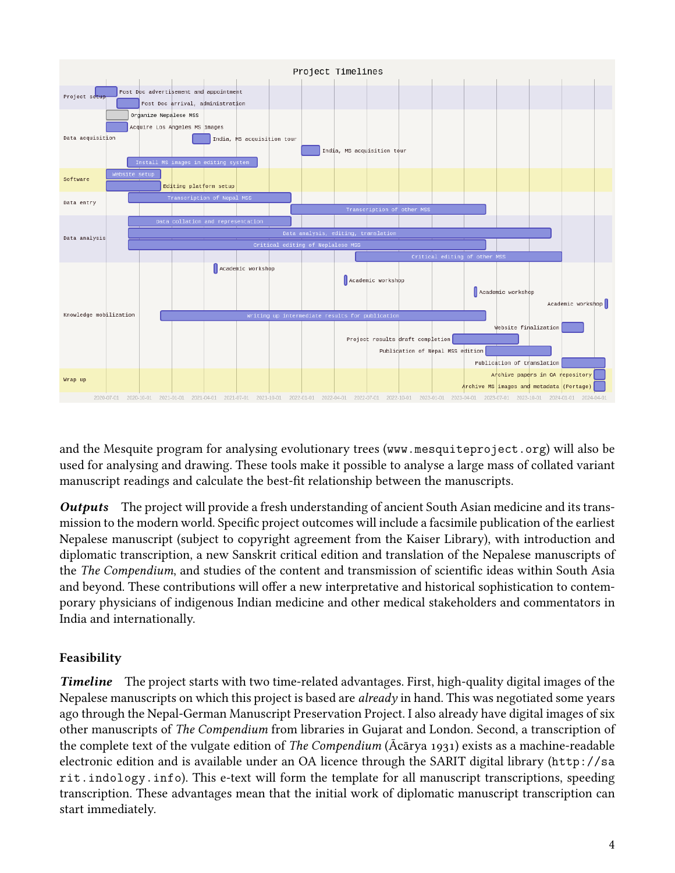

and the Mesquite program for analysing evolutionary trees (www.mesquiteproject.org) will also be used for analysing and drawing. These tools make it possible to analyse a large mass of collated variant manuscript readings and calculate the best-fit relationship between the manuscripts.

*Outputs* The project will provide a fresh understanding of ancient South Asian medicine and its transmission to the modern world. Specific project outcomes will include a facsimile publication of the earliest Nepalese manuscript (subject to copyright agreement from the Kaiser Library), with introduction and diplomatic transcription, a new Sanskrit critical edition and translation of the Nepalese manuscripts of the *The Compendium*, and studies of the content and transmission of scientific ideas within South Asia and beyond. These contributions will offer a new interpretative and historical sophistication to contemporary physicians of indigenous Indian medicine and other medical stakeholders and commentators in India and internationally.

# **Feasibility**

*Timeline* The project starts with two time-related advantages. First, high-quality digital images of the Nepalese manuscripts on which this project is based are *already* in hand. This was negotiated some years ago through the Nepal-German Manuscript Preservation Project. I also already have digital images of six other manuscripts of *The Compendium* from libraries in Gujarat and London. Second, a transcription of the complete text of the vulgate edition of *The Compendium* (Ācārya 1931) exists as a machine-readable electronic edition and is available under an OA licence through the SARIT digital library (http://sa rit.indology.info). This e-text will form the template for all manuscript transcriptions, speeding transcription. These advantages mean that the initial work of diplomatic manuscript transcription can start immediately.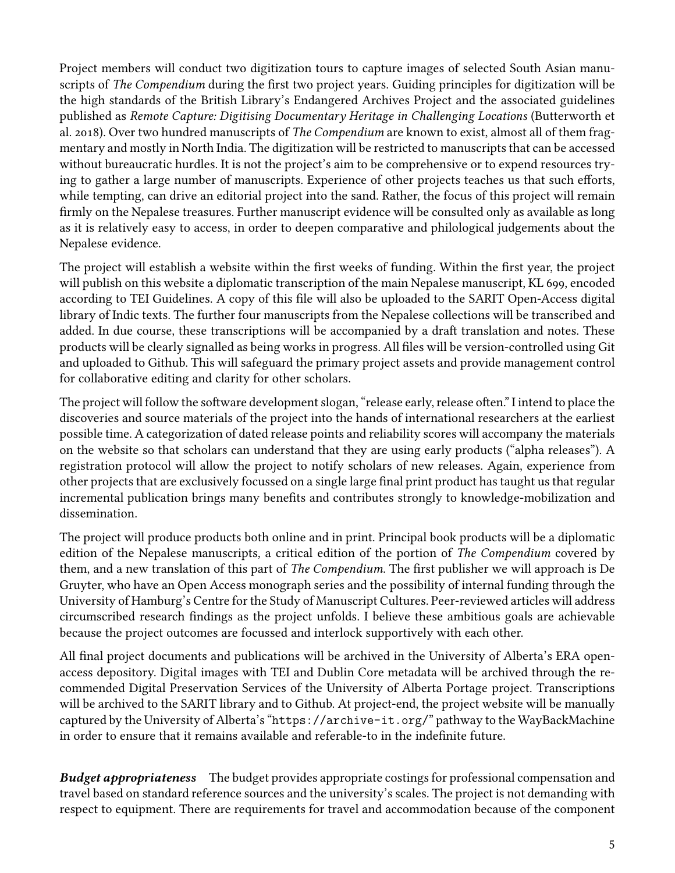Project members will conduct two digitization tours to capture images of selected South Asian manuscripts of *The Compendium* during the first two project years. Guiding principles for digitization will be the high standards of the British Library's Endangered Archives Project and the associated guidelines published as *Remote Capture: Digitising Documentary Heritage in Challenging Locations* (Butterworth et al. 2018). Over two hundred manuscripts of *The Compendium* are known to exist, almost all of them fragmentary and mostly in North India. The digitization will be restricted to manuscriptsthat can be accessed without bureaucratic hurdles. It is not the project's aim to be comprehensive or to expend resources trying to gather a large number of manuscripts. Experience of other projects teaches us that such efforts, while tempting, can drive an editorial project into the sand. Rather, the focus of this project will remain firmly on the Nepalese treasures. Further manuscript evidence will be consulted only as available as long as it is relatively easy to access, in order to deepen comparative and philological judgements about the Nepalese evidence.

The project will establish a website within the first weeks of funding. Within the first year, the project will publish on this website a diplomatic transcription of the main Nepalese manuscript, KL 699, encoded according to TEI Guidelines. A copy of this file will also be uploaded to the SARIT Open-Access digital library of Indic texts. The further four manuscripts from the Nepalese collections will be transcribed and added. In due course, these transcriptions will be accompanied by a draft translation and notes. These products will be clearly signalled as being works in progress. All files will be version-controlled using Git and uploaded to Github. This will safeguard the primary project assets and provide management control for collaborative editing and clarity for other scholars.

The project will follow the software development slogan, "release early, release often." I intend to place the discoveries and source materials of the project into the hands of international researchers at the earliest possible time. A categorization of dated release points and reliability scores will accompany the materials on the website so that scholars can understand that they are using early products ("alpha releases"). A registration protocol will allow the project to notify scholars of new releases. Again, experience from other projects that are exclusively focussed on a single large final print product has taught us that regular incremental publication brings many benefits and contributes strongly to knowledge-mobilization and dissemination.

The project will produce products both online and in print. Principal book products will be a diplomatic edition of the Nepalese manuscripts, a critical edition of the portion of *The Compendium* covered by them, and a new translation of this part of *The Compendium*. The first publisher we will approach is De Gruyter, who have an Open Access monograph series and the possibility of internal funding through the University of Hamburg's Centre for the Study of Manuscript Cultures. Peer-reviewed articles will address circumscribed research findings as the project unfolds. I believe these ambitious goals are achievable because the project outcomes are focussed and interlock supportively with each other.

All final project documents and publications will be archived in the University of Alberta's ERA openaccess depository. Digital images with TEI and Dublin Core metadata will be archived through the recommended Digital Preservation Services of the University of Alberta Portage project. Transcriptions will be archived to the SARIT library and to Github. At project-end, the project website will be manually captured by the University of Alberta's"https://archive-it.org/" pathway to the WayBackMachine in order to ensure that it remains available and referable-to in the indefinite future.

*Budget appropriateness* The budget provides appropriate costings for professional compensation and travel based on standard reference sources and the university's scales. The project is not demanding with respect to equipment. There are requirements for travel and accommodation because of the component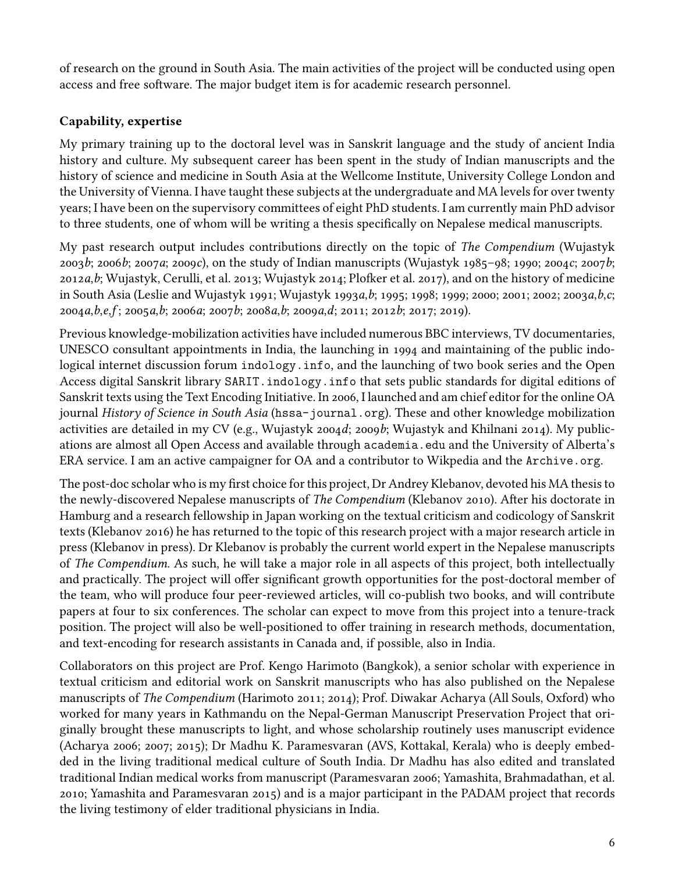of research on the ground in South Asia. The main activities of the project will be conducted using open access and free software. The major budget item is for academic research personnel.

# **Capability, expertise**

My primary training up to the doctoral level was in Sanskrit language and the study of ancient India history and culture. My subsequent career has been spent in the study of Indian manuscripts and the history of science and medicine in South Asia at the Wellcome Institute, University College London and the University of Vienna. I have taught these subjects at the undergraduate and MA levels for over twenty years; I have been on the supervisory committees of eight PhD students. I am currently main PhD advisor to three students, one of whom will be writing a thesis specifically on Nepalese medical manuscripts.

My past research output includes contributions directly on the topic of *The Compendium* (Wujastyk 2003*b*; 2006*b*; 2007*a*; 2009*c*), on the study of Indian manuscripts (Wujastyk 1985–98; 1990; 2004*c*; 2007*b*; 2012*a*,*b*; Wujastyk, Cerulli, et al. 2013; Wujastyk 2014; Plofker et al. 2017), and on the history of medicine in South Asia (Leslie and Wujastyk 1991; Wujastyk 1993*a*,*b*; 1995; 1998; 1999; 2000; 2001; 2002; 2003*a*,*b*,*c*; 2004*a*,*b*,*e*,*f* ; 2005*a*,*b*; 2006*a*; 2007*b*; 2008*a*,*b*; 2009*a*,*d*; 2011; 2012*b*; 2017; 2019).

Previous knowledge-mobilization activities have included numerous BBC interviews, TV documentaries, UNESCO consultant appointments in India, the launching in 1994 and maintaining of the public indological internet discussion forum indology.info, and the launching of two book series and the Open Access digital Sanskrit library SARIT.indology.info that sets public standards for digital editions of Sanskrit texts using the Text Encoding Initiative. In 2006, I launched and am chief editor for the online OA journal *History of Science in South Asia* (hssa-journal.org). These and other knowledge mobilization activities are detailed in my CV (e.g., Wujastyk 2004*d*; 2009*b*; Wujastyk and Khilnani 2014). My publications are almost all Open Access and available through academia.edu and the University of Alberta's ERA service. I am an active campaigner for OA and a contributor to Wikpedia and the Archive.org.

The post-doc scholar who is my first choice for this project, Dr Andrey Klebanov, devoted his MA thesis to the newly-discovered Nepalese manuscripts of *The Compendium* (Klebanov 2010). After his doctorate in Hamburg and a research fellowship in Japan working on the textual criticism and codicology of Sanskrit texts (Klebanov 2016) he has returned to the topic of this research project with a major research article in press (Klebanov in press). Dr Klebanov is probably the current world expert in the Nepalese manuscripts of *The Compendium*. As such, he will take a major role in all aspects of this project, both intellectually and practically. The project will offer significant growth opportunities for the post-doctoral member of the team, who will produce four peer-reviewed articles, will co-publish two books, and will contribute papers at four to six conferences. The scholar can expect to move from this project into a tenure-track position. The project will also be well-positioned to offer training in research methods, documentation, and text-encoding for research assistants in Canada and, if possible, also in India.

Collaborators on this project are Prof. Kengo Harimoto (Bangkok), a senior scholar with experience in textual criticism and editorial work on Sanskrit manuscripts who has also published on the Nepalese manuscripts of *The Compendium* (Harimoto 2011; 2014); Prof. Diwakar Acharya (All Souls, Oxford) who worked for many years in Kathmandu on the Nepal-German Manuscript Preservation Project that originally brought these manuscripts to light, and whose scholarship routinely uses manuscript evidence (Acharya 2006; 2007; 2015); Dr Madhu K. Paramesvaran (AVS, Kottakal, Kerala) who is deeply embedded in the living traditional medical culture of South India. Dr Madhu has also edited and translated traditional Indian medical works from manuscript (Paramesvaran 2006; Yamashita, Brahmadathan, et al. 2010; Yamashita and Paramesvaran 2015) and is a major participant in the PADAM project that records the living testimony of elder traditional physicians in India.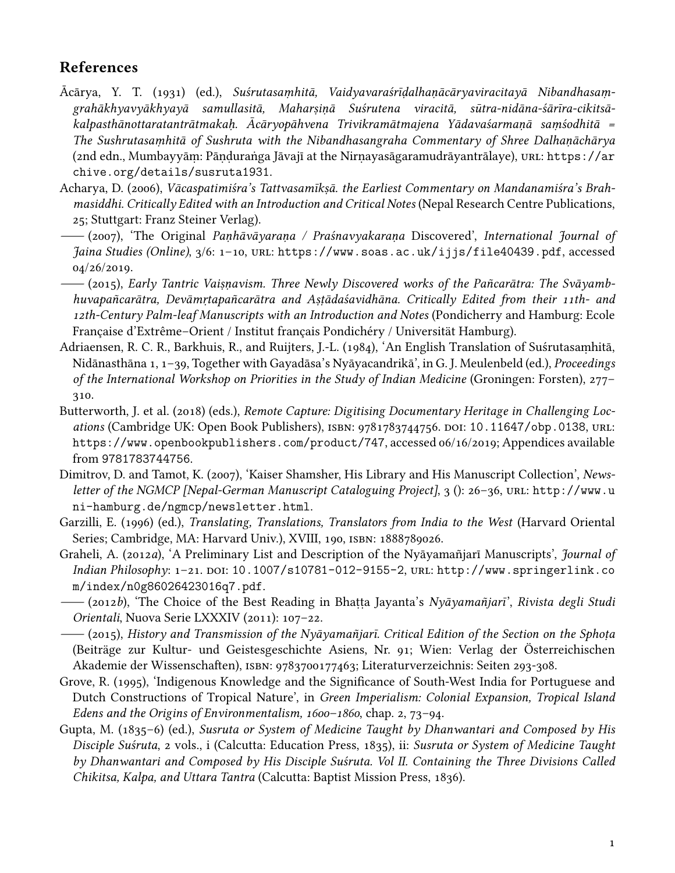# **References**

- Ācārya, Y. T. (1931) (ed.), *Suśrutasaṃhitā, Vaidyavaraśrīḍalhaṇācāryaviracitayā Nibandhasaṃgrahākhyavyākhyayā samullasitā, Maharṣiṇā Suśrutena viracitā, sūtra-nidāna-śārīra-cikitsākalpasthānottaratantrātmakaḥ. Ācāryopāhvena Trivikramātmajena Yādavaśarmaṇā saṃśodhitā = The Sushrutasaṃhitā of Sushruta with the Nibandhasangraha Commentary of Shree Dalhaṇāchārya* (2nd edn., Mumbayyāṃ: Pāṇḍuraṅga Jāvajī at the Nirṇayasāgaramudrāyantrālaye), url: https://ar chive.org/details/susruta1931.
- Acharya, D. (2006), *Vācaspatimiśra's Tattvasamīkṣā. the Earliest Commentary on Mandanamiśra's Brahmasiddhi. Critically Edited with an Introduction and Critical Notes* (Nepal Research Centre Publications, 25; Stuttgart: Franz Steiner Verlag).
- —(2007), 'The Original *Paṇhāvāyaraṇa / Praśnavyakaraṇa* Discovered', *International Journal of Jaina Studies (Online)*, 3/6: 1–10, url: https://www.soas.ac.uk/ijjs/file40439.pdf, accessed 04/26/2019.
- —(2015), *Early Tantric Vaiṣṇavism. Three Newly Discovered works of the Pañcarātra: The Svāyambhuvapañcarātra, Devāmṛtapañcarātra and Aṣṭādaśavidhāna. Critically Edited from their 11th- and 12th-Century Palm-leaf Manuscripts with an Introduction and Notes* (Pondicherry and Hamburg: Ecole Française d'Extrême–Orient / Institut français Pondichéry / Universität Hamburg).
- Adriaensen, R. C. R., Barkhuis, R., and Ruijters, J.-L. (1984), 'An English Translation of Suśrutasaṃhitā, Nidānasthāna 1, 1–39, Together with Gayadāsa's Nyāyacandrikā', in G. J. Meulenbeld (ed.), *Proceedings of the International Workshop on Priorities in the Study of Indian Medicine* (Groningen: Forsten), 277– 310.
- Butterworth, J. et al. (2018) (eds.), *Remote Capture: Digitising Documentary Heritage in Challenging Locations* (Cambridge UK: Open Book Publishers), isbn: 9781783744756. doi: 10.11647/obp.0138, url: https://www.openbookpublishers.com/product/747, accessed 06/16/2019; Appendices available from 9781783744756.
- Dimitrov, D. and Tamot, K. (2007), 'Kaiser Shamsher, His Library and His Manuscript Collection', *Newsletter of the NGMCP [Nepal-German Manuscript Cataloguing Project]*, 3 (): 26–36, url: http://www.u ni-hamburg.de/ngmcp/newsletter.html.
- Garzilli, E. (1996) (ed.), *Translating, Translations, Translators from India to the West* (Harvard Oriental Series; Cambridge, MA: Harvard Univ.), XVIII, 190, ISBN: 1888789026.
- Graheli, A. (2012*a*), 'A Preliminary List and Description of the Nyāyamañjarī Manuscripts', *Journal of Indian Philosophy*: 1–21. doi: 10.1007/s10781-012-9155-2, url: http://www.springerlink.co m/index/n0g86026423016q7.pdf.
- —(2012*b*), 'The Choice of the Best Reading in Bhaṭṭa Jayanta's *Nyāyamañjarī*', *Rivista degli Studi Orientali*, Nuova Serie LXXXIV (2011): 107–22.
- —(2015), *History and Transmission of the Nyāyamañjarī. Critical Edition of the Section on the Sphoṭa* (Beiträge zur Kultur- und Geistesgeschichte Asiens, Nr. 91; Wien: Verlag der Österreichischen Akademie der Wissenschaften), isbn: 9783700177463; Literaturverzeichnis: Seiten 293-308.
- Grove, R. (1995), 'Indigenous Knowledge and the Significance of South-West India for Portuguese and Dutch Constructions of Tropical Nature', in *Green Imperialism: Colonial Expansion, Tropical Island Edens and the Origins of Environmentalism, 1600–1860*, chap. 2, 73–94.
- Gupta, M. (1835–6) (ed.), *Susruta or System of Medicine Taught by Dhanwantari and Composed by His Disciple Suśruta*, 2 vols., i (Calcutta: Education Press, 1835), ii: *Susruta or System of Medicine Taught by Dhanwantari and Composed by His Disciple Suśruta. Vol II. Containing the Three Divisions Called Chikitsa, Kalpa, and Uttara Tantra* (Calcutta: Baptist Mission Press, 1836).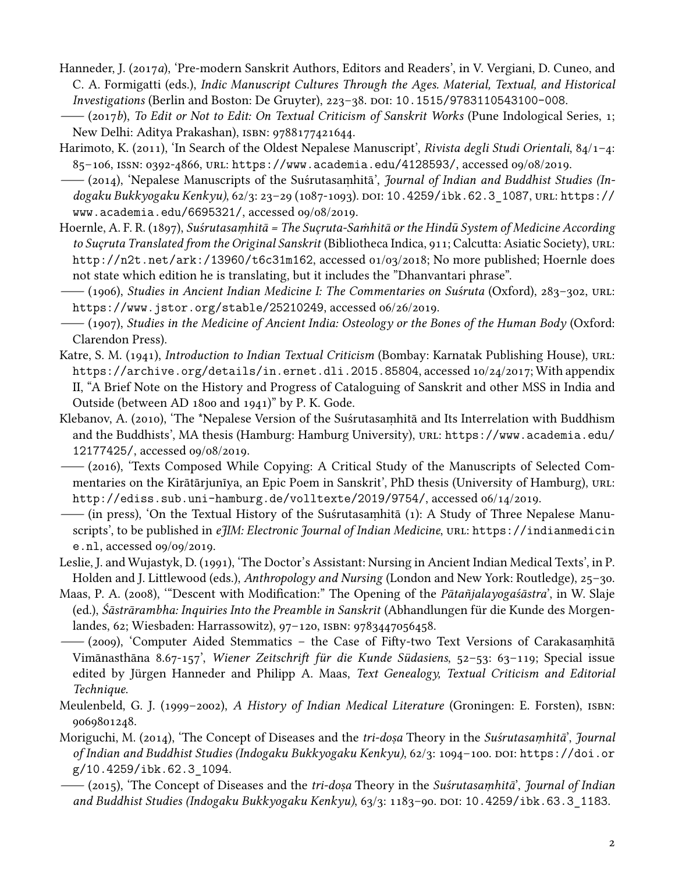- Hanneder, J. (2017*a*), 'Pre-modern Sanskrit Authors, Editors and Readers', in V. Vergiani, D. Cuneo, and C. A. Formigatti (eds.), *Indic Manuscript Cultures Through the Ages. Material, Textual, and Historical Investigations* (Berlin and Boston: De Gruyter), 223–38. doi: 10.1515/9783110543100-008.
- —(2017*b*), *To Edit or Not to Edit: On Textual Criticism of Sanskrit Works* (Pune Indological Series, 1; New Delhi: Aditya Prakashan), isbn: 9788177421644.
- Harimoto, K. (2011), 'In Search of the Oldest Nepalese Manuscript', *Rivista degli Studi Orientali*, 84/1–4: 85–106, issn: 0392-4866, url: https://www.academia.edu/4128593/, accessed 09/08/2019.
- —(2014), 'Nepalese Manuscripts of the Suśrutasaṃhitā', *Journal of Indian and Buddhist Studies (Indogaku Bukkyogaku Kenkyu)*, 62/3: 23–29 (1087-1093). doi: 10.4259/ibk.62.3\_1087, url: https:// www.academia.edu/6695321/, accessed 09/08/2019.
- Hoernle, A. F. R. (1897), *Suśrutasaṃhitā = The Suçruta-Saṁhitā or the Hindū System of Medicine According to Suçruta Translated from the Original Sanskrit* (Bibliotheca Indica, 911; Calcutta: Asiatic Society), url: http://n2t.net/ark:/13960/t6c31m162, accessed 01/03/2018; No more published; Hoernle does not state which edition he is translating, but it includes the "Dhanvantari phrase".
- —(1906), *Studies in Ancient Indian Medicine I: The Commentaries on Suśruta* (Oxford), 283–302, url: https://www.jstor.org/stable/25210249, accessed 06/26/2019.
- —(1907), *Studies in the Medicine of Ancient India: Osteology or the Bones of the Human Body* (Oxford: Clarendon Press).
- Katre, S. M. (1941), *Introduction to Indian Textual Criticism* (Bombay: Karnatak Publishing House), url: https://archive.org/details/in.ernet.dli.2015.85804, accessed 10/24/2017; With appendix II, "A Brief Note on the History and Progress of Cataloguing of Sanskrit and other MSS in India and Outside (between AD 1800 and 1941)" by P. K. Gode.
- Klebanov, A. (2010), 'The \*Nepalese Version of the Suśrutasaṃhitā and Its Interrelation with Buddhism and the Buddhists', MA thesis (Hamburg: Hamburg University), URL: https://www.academia.edu/ 12177425/, accessed 09/08/2019.
- —(2016), 'Texts Composed While Copying: <sup>A</sup> Critical Study of the Manuscripts of Selected Commentaries on the Kirātārjunīya, an Epic Poem in Sanskrit', PhD thesis (University of Hamburg), url: http://ediss.sub.uni-hamburg.de/volltexte/2019/9754/, accessed 06/14/2019.
- —(in press), 'On the Textual History of the Suśrutasaṃhitā (1): <sup>A</sup> Study of Three Nepalese Manuscripts', to be published in *eJIM: Electronic Journal of Indian Medicine*, url: https://indianmedicin e.nl, accessed 09/09/2019.
- Leslie, J. and Wujastyk, D. (1991), 'The Doctor's Assistant: Nursing in Ancient Indian Medical Texts', in P. Holden and J. Littlewood (eds.), *Anthropology and Nursing* (London and New York: Routledge), 25–30.
- Maas, P. A. (2008), '"Descent with Modification:" The Opening of the *Pātañjalayogaśāstra*', in W. Slaje (ed.), *Śāstrārambha: Inquiries Into the Preamble in Sanskrit* (Abhandlungen für die Kunde des Morgenlandes, 62; Wiesbaden: Harrassowitz), 97–120, isbn: 9783447056458.
- —(2009), 'Computer Aided Stemmatics the Case of Fifty-two Text Versions of Carakasaṃhitā Vimānasthāna 8.67-157', *Wiener Zeitschrift für die Kunde Südasiens*, 52–53: 63–119; Special issue edited by Jürgen Hanneder and Philipp A. Maas, *Text Genealogy, Textual Criticism and Editorial Technique*.
- Meulenbeld, G. J. (1999–2002), *A History of Indian Medical Literature* (Groningen: E. Forsten), isbn: 9069801248.
- Moriguchi, M. (2014), 'The Concept of Diseases and the *tri-doṣa* Theory in the *Suśrutasaṃhitā*', *Journal of Indian and Buddhist Studies (Indogaku Bukkyogaku Kenkyu)*, 62/3: 1094–100. doi: https://doi.or g/10.4259/ibk.62.3\_1094.
- —(2015), 'The Concept of Diseases and the *tri-doṣa* Theory in the *Suśrutasaṃhitā*', *Journal of Indian and Buddhist Studies (Indogaku Bukkyogaku Kenkyu)*, 63/3: 1183–90. doi: 10.4259/ibk.63.3\_1183.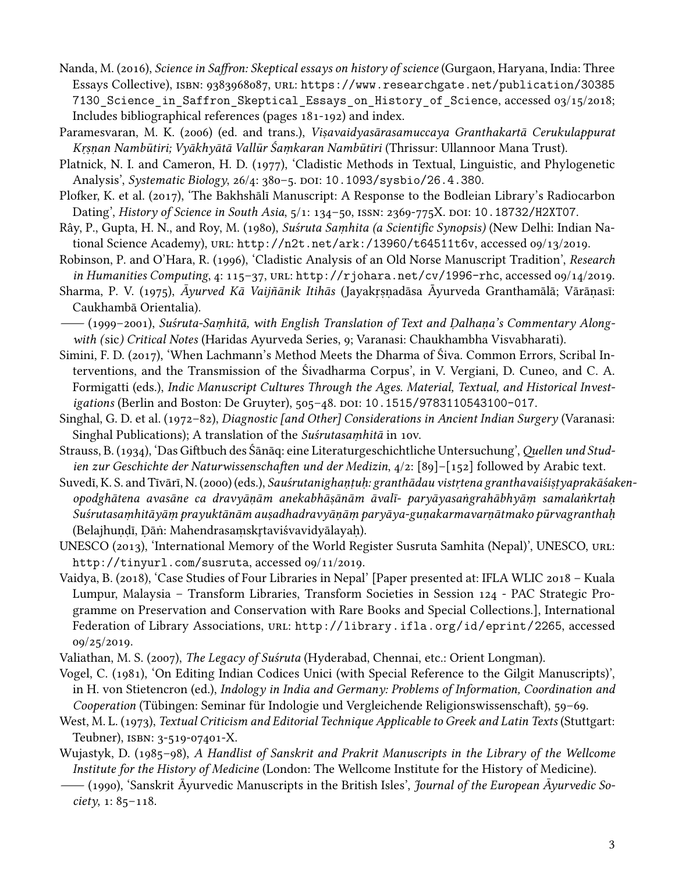- Nanda, M. (2016), *Science in Saffron: Skeptical essays on history of science* (Gurgaon, Haryana, India: Three Essays Collective), isbn: 9383968087, url: https://www.researchgate.net/publication/30385 7130 Science in Saffron Skeptical Essays on History of Science, accessed 03/15/2018; Includes bibliographical references (pages 181-192) and index.
- Paramesvaran, M. K. (2006) (ed. and trans.), *Viṣavaidyasārasamuccaya Granthakartā Cerukulappurat Kṛṣṇan Nambūtiri; Vyākhyātā Vallūr Śaṃkaran Nambūtiri* (Thrissur: Ullannoor Mana Trust).
- Platnick, N. I. and Cameron, H. D. (1977), 'Cladistic Methods in Textual, Linguistic, and Phylogenetic Analysis', *Systematic Biology*, 26/4: 380–5. doi: 10.1093/sysbio/26.4.380.
- Plofker, K. et al. (2017), 'The Bakhshālī Manuscript: A Response to the Bodleian Library's Radiocarbon Dating', *History of Science in South Asia*, 5/1: 134–50, issn: 2369-775X. doi: 10.18732/H2XT07.
- Rây, P., Gupta, H. N., and Roy, M. (1980), *Suśruta Saṃhita (a Scientific Synopsis)* (New Delhi: Indian National Science Academy), URL:  $http://n2t.net/ark://13960/t64511t6v, accessed 09/13/2019$ .
- Robinson, P. and O'Hara, R. (1996), 'Cladistic Analysis of an Old Norse Manuscript Tradition', *Research in Humanities Computing*, 4: 115–37, url: http://rjohara.net/cv/1996-rhc, accessed 09/14/2019.
- Sharma, P. V. (1975), *Āyurved Kā Vaijñānik Itihās* (Jayakṛṣṇadāsa Āyurveda Granthamālā; Vārāṇasī: Caukhambā Orientalia).
- —(1999–2001), *Suśruta-Saṃhitā, with English Translation of Text and Ḍalhaṇa's Commentary Alongwith (*sic*) Critical Notes* (Haridas Ayurveda Series, 9; Varanasi: Chaukhambha Visvabharati).
- Simini, F. D. (2017), 'When Lachmann's Method Meets the Dharma of Śiva. Common Errors, Scribal Interventions, and the Transmission of the Śivadharma Corpus', in V. Vergiani, D. Cuneo, and C. A. Formigatti (eds.), *Indic Manuscript Cultures Through the Ages. Material, Textual, and Historical Investigations* (Berlin and Boston: De Gruyter), 505-48. DOI: 10.1515/9783110543100-017.
- Singhal, G. D. et al. (1972–82), *Diagnostic [and Other] Considerations in Ancient Indian Surgery* (Varanasi: Singhal Publications); A translation of the *Suśrutasaṃhitā* in 10v.
- Strauss, B. (1934), 'Das Giftbuch des Śānāq: eine Literaturgeschichtliche Untersuchung', *Quellen und Studien zur Geschichte der Naturwissenschaften und der Medizin*, 4/2: [89]–[152] followed by Arabic text.
- Suvedī, K. S. and Tīvārī,N. (2000) (eds.), *Sauśrutanighaṇṭuḥ: granthādau vistṛtena granthavaiśiṣṭyaprakāśakenopodghātena avasāne ca dravyāṇām anekabhāṣānām āvalı̄- paryāyasaṅgrahābhyāṃ samalaṅkrtaḥ Suśrutasaṃhitāyāṃ prayuktānām auṣadhadravyāṇāṃ paryāya-guṇakarmavarṇātmako pūrvagranthaḥ* (Belajhuṇḍī, Ḍāṅ: Mahendrasaṃskr̥taviśvavidyālayaḥ).
- UNESCO (2013), 'International Memory of the World Register Susruta Samhita (Nepal)', UNESCO, url: http://tinyurl.com/susruta, accessed 09/11/2019.
- Vaidya, B. (2018), 'Case Studies of Four Libraries in Nepal' [Paper presented at: IFLA WLIC 2018 Kuala Lumpur, Malaysia – Transform Libraries, Transform Societies in Session 124 - PAC Strategic Programme on Preservation and Conservation with Rare Books and Special Collections.], International Federation of Library Associations, URL: http://library.ifla.org/id/eprint/2265, accessed 09/25/2019.
- Valiathan, M. S. (2007), *The Legacy of Suśruta* (Hyderabad, Chennai, etc.: Orient Longman).
- Vogel, C. (1981), 'On Editing Indian Codices Unici (with Special Reference to the Gilgit Manuscripts)', in H. von Stietencron (ed.), *Indology in India and Germany: Problems of Information, Coordination and Cooperation* (Tübingen: Seminar für Indologie und Vergleichende Religionswissenschaft), 59–69.
- West, M. L. (1973), *Textual Criticism and Editorial Technique Applicable to Greek and Latin Texts* (Stuttgart: Teubner), isbn: 3-519-07401-X.
- Wujastyk, D. (1985–98), *A Handlist of Sanskrit and Prakrit Manuscripts in the Library of the Wellcome Institute for the History of Medicine* (London: The Wellcome Institute for the History of Medicine).
- —(1990), 'Sanskrit Āyurvedic Manuscripts in the British Isles', *Journal of the European Āyurvedic Society*, 1: 85–118.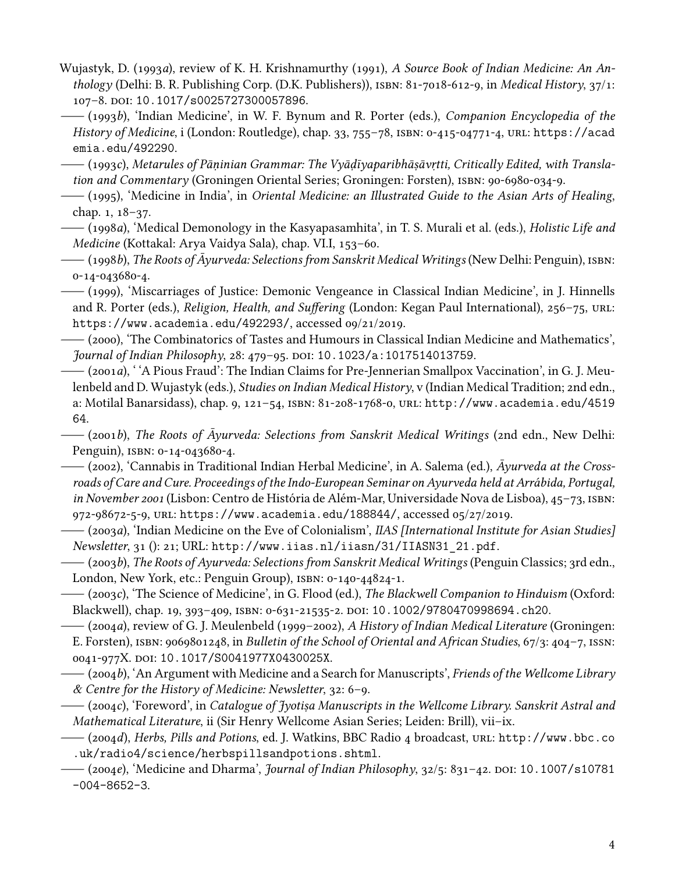- Wujastyk, D. (1993*a*), review of K. H. Krishnamurthy (1991), *A Source Book of Indian Medicine: An Anthology* (Delhi: B. R. Publishing Corp. (D.K. Publishers)), isbn: 81-7018-612-9, in *Medical History*, 37/1: 107–8. doi: 10.1017/s0025727300057896.
	- —(1993*b*), 'Indian Medicine', in W. F. Bynum and R. Porter (eds.), *Companion Encyclopedia of the History of Medicine*, i (London: Routledge), chap. 33, 755–78, isbn: 0-415-04771-4, url: https://acad emia.edu/492290.
- —(1993*c*), *Metarules of Pāṇinian Grammar: The Vyāḍīyaparibhāṣāvṛtti, Critically Edited, with Translation and Commentary* (Groningen Oriental Series; Groningen: Forsten), isbn: 90-6980-034-9.
- —(1995), 'Medicine in India', in *Oriental Medicine: an Illustrated Guide to the Asian Arts of Healing*, chap. 1, 18–37.
- —(1998*a*), 'Medical Demonology in the Kasyapasamhita', in T. S. Murali et al. (eds.), *Holistic Life and Medicine* (Kottakal: Arya Vaidya Sala), chap. VI.I, 153–60.
- —(1998*b*), *The Roots of Āyurveda: Selections from Sanskrit Medical Writings* (New Delhi: Penguin), isbn: 0-14-043680-4.
- —(1999), 'Miscarriages of Justice: Demonic Vengeance in Classical Indian Medicine', in J. Hinnells and R. Porter (eds.), *Religion, Health, and Suffering* (London: Kegan Paul International), 256–75, url: https://www.academia.edu/492293/, accessed 09/21/2019.
- —(2000), 'The Combinatorics of Tastes and Humours in Classical Indian Medicine and Mathematics', *Journal of Indian Philosophy*, 28: 479–95. doi: 10.1023/a:1017514013759.
- —(2001*a*), ' 'A Pious Fraud': The Indian Claims for Pre-Jennerian Smallpox Vaccination', in G. J. Meulenbeld and D. Wujastyk (eds.), *Studies on Indian Medical History*, v (Indian Medical Tradition; 2nd edn., a: Motilal Banarsidass), chap. 9, 121–54, isbn: 81-208-1768-0, url: http://www.academia.edu/4519 64.
- —(2001*b*), *The Roots of Āyurveda: Selections from Sanskrit Medical Writings* (2nd edn., New Delhi: Penguin), ISBN: 0-14-043680-4.
- —(2002), 'Cannabis in Traditional Indian Herbal Medicine', in A. Salema (ed.), *Āyurveda at the Crossroads of Care and Cure. Proceedings of the Indo-European Seminar on Ayurveda held at Arrábida, Portugal, in November 2001* (Lisbon: Centro de História de Além-Mar, Universidade Nova de Lisboa), 45–73, isbn: 972-98672-5-9, url: https://www.academia.edu/188844/, accessed 05/27/2019.
- —(2003*a*), 'Indian Medicine on the Eve of Colonialism', *IIAS [International Institute for Asian Studies] Newsletter*, 31 (): 21; URL: http://www.iias.nl/iiasn/31/IIASN31\_21.pdf.
- —(2003*b*), *The Roots of Ayurveda: Selections from Sanskrit Medical Writings* (Penguin Classics; 3rd edn., London, New York, etc.: Penguin Group), ISBN: 0-140-44824-1.
- —(2003*c*), 'The Science of Medicine', in G. Flood (ed.), *The Blackwell Companion to Hinduism* (Oxford: Blackwell), chap. 19, 393–409, isbn: 0-631-21535-2. doi: 10.1002/9780470998694.ch20.
- —(2004*a*), review of G. J. Meulenbeld (1999–2002), *<sup>A</sup> History of Indian Medical Literature* (Groningen: E. Forsten), isbn: 9069801248, in *Bulletin of the School of Oriental and African Studies*, 67/3: 404–7, issn: 0041-977X. DOI: 10.1017/S0041977X0430025X.
- —(2004*b*), 'An Argument with Medicine and <sup>a</sup> Search for Manuscripts', *Friends of the Wellcome Library & Centre for the History of Medicine: Newsletter*, 32: 6–9.
- —(2004*c*), 'Foreword', in *Catalogue of Jyotiṣa Manuscripts in the Wellcome Library. Sanskrit Astral and Mathematical Literature*, ii (Sir Henry Wellcome Asian Series; Leiden: Brill), vii–ix.
- —(2004*d*), *Herbs, Pills and Potions*, ed. J. Watkins, BBC Radio <sup>4</sup> broadcast, url: http://www.bbc.co .uk/radio4/science/herbspillsandpotions.shtml.
- —(2004*e*), 'Medicine and Dharma', *Journal of Indian Philosophy*, 32/5: 831–42. doi: 10.1007/s10781 -004-8652-3.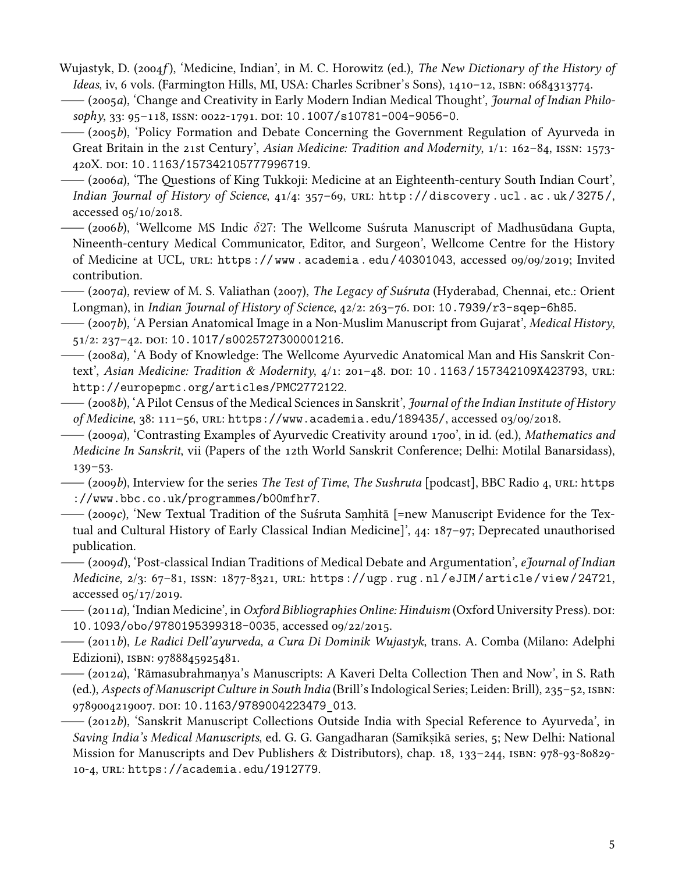Wujastyk, D. (2004*f* ), 'Medicine, Indian', in M. C. Horowitz (ed.), *The New Dictionary of the History of*

Ideas, iv, 6 vols. (Farmington Hills, MI, USA: Charles Scribner's Sons), 1410–12, ISBN: 0684313774<br>—— (2005a), 'Change and Creativity in Early Modern Indian Medical Thought', Journal of Indian P *sophy*, 33: 95–118, issn: 0022-1791. doi: 10.1007/s10781-004-9056-0.

—(2005*b*), 'Policy Formation and Debate Concerning the Government Regulation of Ayurveda in Great Britain in the 21st Century', *Asian Medicine: Tradition and Modernity*, 1/1: 162–84, issn: 1573-420X. doi: 10.1163/157342105777996719.

—(2006*a*), 'The Questions of King Tukkoji: Medicine at an Eighteenth-century South Indian Court', *Indian Journal of History of Science*, 41/4: 357–69, url: http://discovery.ucl.ac.uk/3275/, accessed 05/10/2018.

—(2006*b*), 'Wellcome MS Indic *<sup>δ</sup>*27: The Wellcome Suśruta Manuscript of Madhusūdana Gupta, Nineenth-century Medical Communicator, Editor, and Surgeon', Wellcome Centre for the History of Medicine at UCL, url: https://www.academia.edu/40301043, accessed 09/09/2019; Invited contribution.

—(2007*a*), review of M. S. Valiathan (2007), *The Legacy of Suśruta* (Hyderabad, Chennai, etc.: Orient Longman), in *Indian Journal of History of Science*, 42/2: 263–76. doi: 10.7939/r3-sqep-6h85.

—(2007*b*), 'A Persian Anatomical Image in <sup>a</sup> Non-Muslim Manuscript from Gujarat', *Medical History*, 51/2: 237–42. doi: 10.1017/s0025727300001216.

—(2008*a*), 'A Body of Knowledge: The Wellcome Ayurvedic Anatomical Man and His Sanskrit Context', *Asian Medicine: Tradition & Modernity*, 4/1: 201–48. doi: 10.1163/157342109X423793, url: http://europepmc.org/articles/PMC2772122.

—(2008*b*), 'A Pilot Census of the Medical Sciences in Sanskrit', *Journal of the Indian Institute of History of Medicine*, 38: 111–56, url: https://www.academia.edu/189435/, accessed 03/09/2018.

—(2009*a*), 'Contrasting Examples of Ayurvedic Creativity around 1700', in id. (ed.), *Mathematics and Medicine In Sanskrit*, vii (Papers of the 12th World Sanskrit Conference; Delhi: Motilal Banarsidass), 139–53.

—(2009*b*), Interview for the series *The Test of Time*, *The Sushruta* [podcast], BBC Radio 4, url: https ://www.bbc.co.uk/programmes/b00mfhr7.

—(2009*c*), 'New Textual Tradition of the Suśruta Saṃhitā [=new Manuscript Evidence for the Textual and Cultural History of Early Classical Indian Medicine]', 44: 187–97; Deprecated unauthorised publication.

—(2009*d*), 'Post-classical Indian Traditions of Medical Debate and Argumentation', *eJournal of Indian Medicine*, 2/3: 67–81, issn: 1877-8321, url: https://ugp.rug.nl/eJIM/article/view/24721, accessed 05/17/2019.

—(2011*a*), 'Indian Medicine', in *Oxford Bibliographies Online: Hinduism* (Oxford University Press). doi: 10.1093/obo/9780195399318-0035, accessed 09/22/2015.

—(2011*b*), *Le Radici Dell'ayurveda, <sup>a</sup> Cura Di Dominik Wujastyk*, trans. A. Comba (Milano: Adelphi Edizioni), isbn: 9788845925481.

—(2012*a*), 'Rāmasubrahmaṇya's Manuscripts: <sup>A</sup> Kaveri Delta Collection Then and Now', in S. Rath (ed.), *Aspects of Manuscript Culture in South India* (Brill'sIndological Series; Leiden: Brill), 235–52, isbn: 9789004219007. DOI: 10.1163/9789004223479\_013.

—(2012*b*), 'Sanskrit Manuscript Collections Outside India with Special Reference to Ayurveda', in *Saving India's Medical Manuscripts*, ed. G. G. Gangadharan (Samīkṣikā series, 5; New Delhi: National Mission for Manuscripts and Dev Publishers & Distributors), chap. 18, 133–244, isbn: 978-93-80829-10-4, url: https://academia.edu/1912779.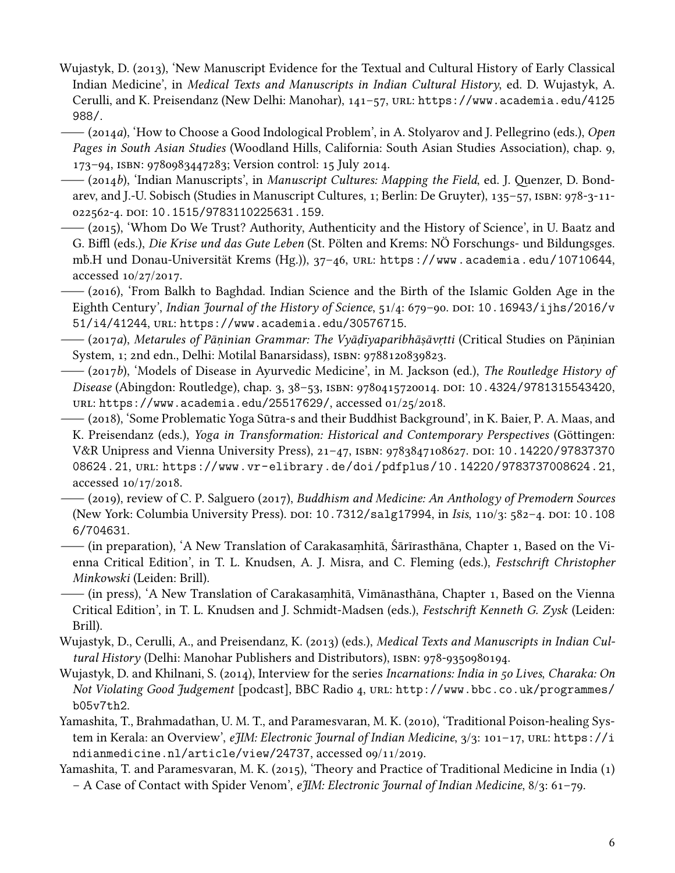- Wujastyk, D. (2013), 'New Manuscript Evidence for the Textual and Cultural History of Early Classical Indian Medicine', in *Medical Texts and Manuscripts in Indian Cultural History*, ed. D. Wujastyk, A. Cerulli, and K. Preisendanz (New Delhi: Manohar), 141-57, URL: https://www.academia.edu/4125 988/.
- —(2014*a*), 'How to Choose <sup>a</sup> Good Indological Problem', in A. Stolyarov and J. Pellegrino (eds.), *Open Pages in South Asian Studies* (Woodland Hills, California: South Asian Studies Association), chap. 9, 173–94, isbn: 9780983447283; Version control: 15 July 2014.
	- —(2014*b*), 'Indian Manuscripts', in *Manuscript Cultures: Mapping the Field*, ed. J. Quenzer, D. Bondarev, and J.-U. Sobisch (Studies in Manuscript Cultures, 1; Berlin: De Gruyter), 135–57, isbn: 978-3-11-022562-4. doi: 10.1515/9783110225631.159.
- —(2015), 'Whom Do We Trust? Authority, Authenticity and the History of Science', in U. Baatz and G. Biffl (eds.), *Die Krise und das Gute Leben* (St. Pölten and Krems: NÖ Forschungs- und Bildungsges. mb.H und Donau-Universität Krems (Hg.)), 37-46, URL: https://www.academia.edu/10710644, accessed 10/27/2017.
- —(2016), 'From Balkh to Baghdad. Indian Science and the Birth of the Islamic Golden Age in the Eighth Century', *Indian 'Journal of the History of Science*, 51/4: 679–90. DOI: 10.16943/i jhs/2016/v 51/i4/41244, url: https://www.academia.edu/30576715.
- —(2017*a*), *Metarules of Pāṇinian Grammar: The Vyāḍīyaparibhāṣāvṛtti* (Critical Studies on Pāṇinian System, 1; 2nd edn., Delhi: Motilal Banarsidass), isbn: 9788120839823.
- —(2017*b*), 'Models of Disease in Ayurvedic Medicine', in M. Jackson (ed.), *The Routledge History of Disease* (Abingdon: Routledge), chap. 3, 38–53, isbn: 9780415720014. doi: 10.4324/9781315543420, url: https://www.academia.edu/25517629/, accessed 01/25/2018.
- —(2018), 'Some Problematic Yoga Sūtra-s and their Buddhist Background', in K. Baier, P. A. Maas, and K. Preisendanz (eds.), *Yoga in Transformation: Historical and Contemporary Perspectives* (Göttingen: V&R Unipress and Vienna University Press), 21–47, isbn: 9783847108627. doi: 10.14220/97837370 08624.21, URL: https://www.vr-elibrary.de/doi/pdfplus/10.14220/9783737008624.21, accessed 10/17/2018.
- —(2019), review of C. P. Salguero (2017), *Buddhism and Medicine: An Anthology of Premodern Sources* (New York: Columbia University Press). doi: 10.7312/salg17994, in *Isis*, 110/3: 582–4. doi: 10.108 6/704631.
- —(in preparation), 'A New Translation of Carakasaṃhitā, Śārīrasthāna, Chapter 1, Based on the Vienna Critical Edition', in T. L. Knudsen, A. J. Misra, and C. Fleming (eds.), *Festschrift Christopher Minkowski* (Leiden: Brill).
- —(in press), 'A New Translation of Carakasaṃhitā, Vimānasthāna, Chapter 1, Based on the Vienna Critical Edition', in T. L. Knudsen and J. Schmidt-Madsen (eds.), *Festschrift Kenneth G. Zysk* (Leiden: Brill).
- Wujastyk, D., Cerulli, A., and Preisendanz, K. (2013) (eds.), *Medical Texts and Manuscripts in Indian Cultural History* (Delhi: Manohar Publishers and Distributors), isbn: 978-9350980194.
- Wujastyk, D. and Khilnani, S. (2014), Interview for the series *Incarnations: India in 50 Lives*, *Charaka: On Not Violating Good Judgement* [podcast], BBC Radio 4, url: http://www.bbc.co.uk/programmes/ b05v7th2.
- Yamashita, T., Brahmadathan, U. M. T., and Paramesvaran, M. K. (2010), 'Traditional Poison-healing System in Kerala: an Overview', *eJIM: Electronic Journal of Indian Medicine*, 3/3: 101–17, url: https://i ndianmedicine.nl/article/view/24737, accessed 09/11/2019.
- Yamashita, T. and Paramesvaran, M. K. (2015), 'Theory and Practice of Traditional Medicine in India (1) – A Case of Contact with Spider Venom', *eJIM: Electronic Journal of Indian Medicine*, 8/3: 61–79.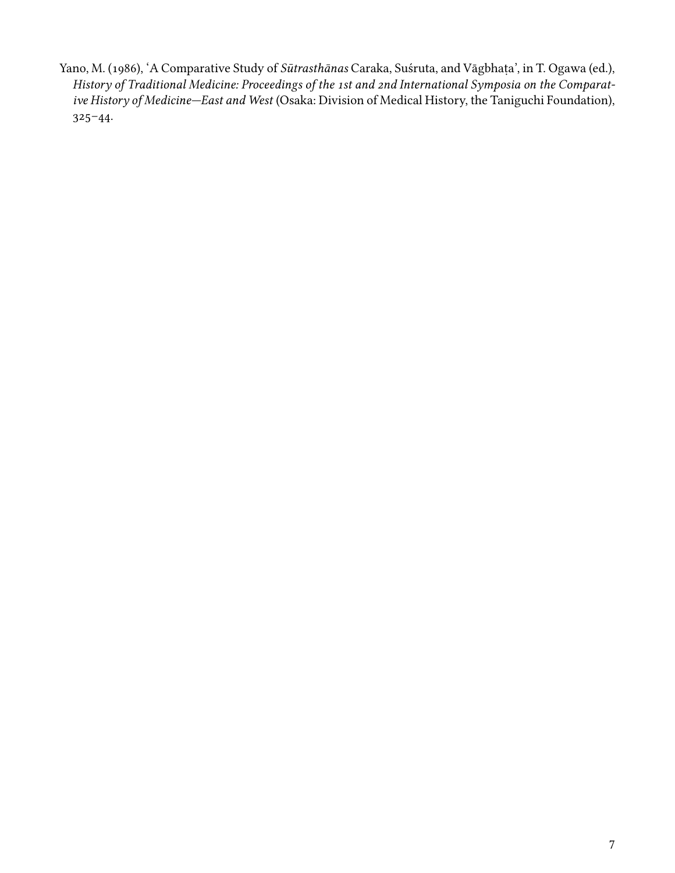Yano, M. (1986), 'A Comparative Study of *Sūtrasthānas* Caraka, Suśruta, and Vāgbhaṭa', in T. Ogawa (ed.), *History of Traditional Medicine: Proceedings of the 1st and 2nd International Symposia on the Comparative History of Medicine—East and West* (Osaka: Division of Medical History, the Taniguchi Foundation), 325–44.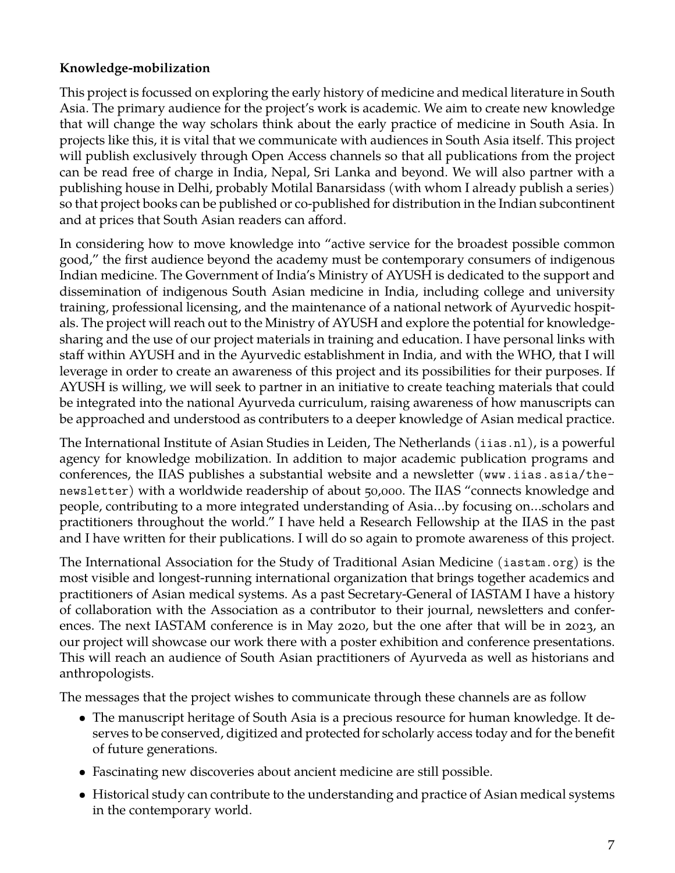# **Knowledge-mobilization**

This project is focussed on exploring the early history of medicine and medical literature in South Asia. The primary audience for the project's work is academic. We aim to create new knowledge that will change the way scholars think about the early practice of medicine in South Asia. In projects like this, it is vital that we communicate with audiences in South Asia itself. This project will publish exclusively through Open Access channels so that all publications from the project can be read free of charge in India, Nepal, Sri Lanka and beyond. We will also partner with a publishing house in Delhi, probably Motilal Banarsidass (with whom I already publish a series) so that project books can be published or co-published for distribution in the Indian subcontinent and at prices that South Asian readers can afford.

In considering how to move knowledge into "active service for the broadest possible common good," the first audience beyond the academy must be contemporary consumers of indigenous Indian medicine. The Government of India's Ministry of AYUSH is dedicated to the support and dissemination of indigenous South Asian medicine in India, including college and university training, professional licensing, and the maintenance of a national network of Ayurvedic hospitals. The project will reach out to the Ministry of AYUSH and explore the potential for knowledgesharing and the use of our project materials in training and education. I have personal links with staff within AYUSH and in the Ayurvedic establishment in India, and with the WHO, that I will leverage in order to create an awareness of this project and its possibilities for their purposes. If AYUSH is willing, we will seek to partner in an initiative to create teaching materials that could be integrated into the national Ayurveda curriculum, raising awareness of how manuscripts can be approached and understood as contributers to a deeper knowledge of Asian medical practice.

The International Institute of Asian Studies in Leiden, The Netherlands (iias.nl), is a powerful agency for knowledge mobilization. In addition to major academic publication programs and conferences, the IIAS publishes a substantial website and a newsletter (www.iias.asia/thenewsletter) with a worldwide readership of about 50,000. The IIAS "connects knowledge and people, contributing to a more integrated understanding of Asia…by focusing on…scholars and practitioners throughout the world." I have held a Research Fellowship at the IIAS in the past and I have written for their publications. I will do so again to promote awareness of this project.

The International Association for the Study of Traditional Asian Medicine (iastam.org) is the most visible and longest-running international organization that brings together academics and practitioners of Asian medical systems. As a past Secretary-General of IASTAM I have a history of collaboration with the Association as a contributor to their journal, newsletters and conferences. The next IASTAM conference is in May 2020, but the one after that will be in 2023, an our project will showcase our work there with a poster exhibition and conference presentations. This will reach an audience of South Asian practitioners of Ayurveda as well as historians and anthropologists.

The messages that the project wishes to communicate through these channels are as follow

- The manuscript heritage of South Asia is a precious resource for human knowledge. It deserves to be conserved, digitized and protected for scholarly access today and forthe benefit of future generations.
- Fascinating new discoveries about ancient medicine are still possible.
- Historical study can contribute to the understanding and practice of Asian medical systems in the contemporary world.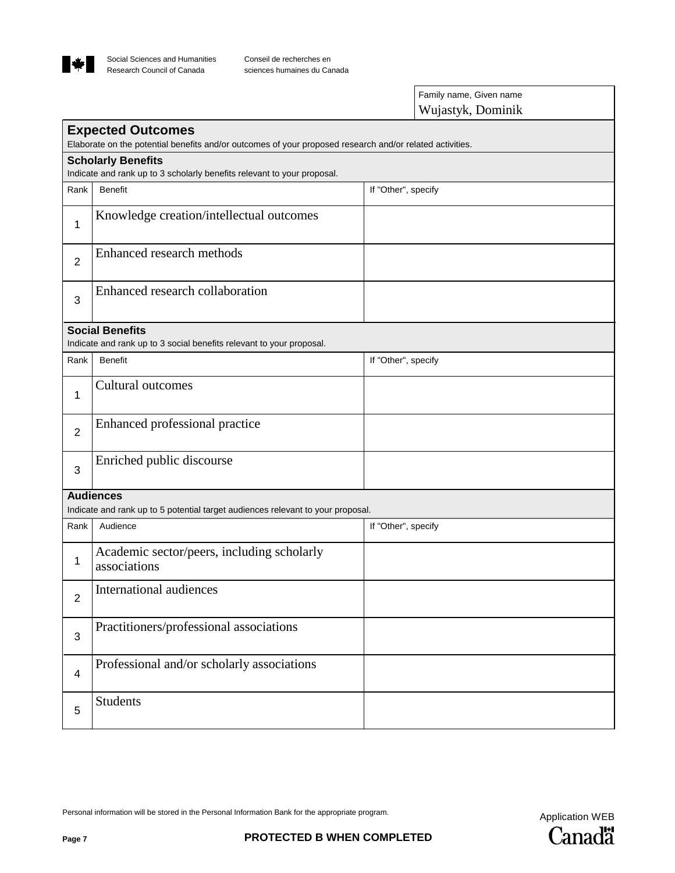

Conseil de recherches en sciences humaines du Canada

> Family name, Given name Wujastyk, Dominik

|                          | <b>Expected Outcomes</b><br>Elaborate on the potential benefits and/or outcomes of your proposed research and/or related activities. |                     |
|--------------------------|--------------------------------------------------------------------------------------------------------------------------------------|---------------------|
|                          | <b>Scholarly Benefits</b><br>Indicate and rank up to 3 scholarly benefits relevant to your proposal.                                 |                     |
| Rank                     | <b>Benefit</b>                                                                                                                       | If "Other", specify |
| 1                        | Knowledge creation/intellectual outcomes                                                                                             |                     |
| $\overline{2}$           | Enhanced research methods                                                                                                            |                     |
| 3                        | Enhanced research collaboration                                                                                                      |                     |
|                          | <b>Social Benefits</b><br>Indicate and rank up to 3 social benefits relevant to your proposal.                                       |                     |
| Rank                     | <b>Benefit</b>                                                                                                                       | If "Other", specify |
| 1                        | Cultural outcomes                                                                                                                    |                     |
| $\overline{2}$           | Enhanced professional practice                                                                                                       |                     |
| 3                        | Enriched public discourse                                                                                                            |                     |
|                          | <b>Audiences</b><br>Indicate and rank up to 5 potential target audiences relevant to your proposal.                                  |                     |
| Rank                     | Audience                                                                                                                             | If "Other", specify |
| 1                        | Academic sector/peers, including scholarly<br>associations                                                                           |                     |
| 2                        | International audiences                                                                                                              |                     |
| 3                        | Practitioners/professional associations                                                                                              |                     |
| $\overline{\mathcal{A}}$ | Professional and/or scholarly associations                                                                                           |                     |
| 5                        | Students                                                                                                                             |                     |

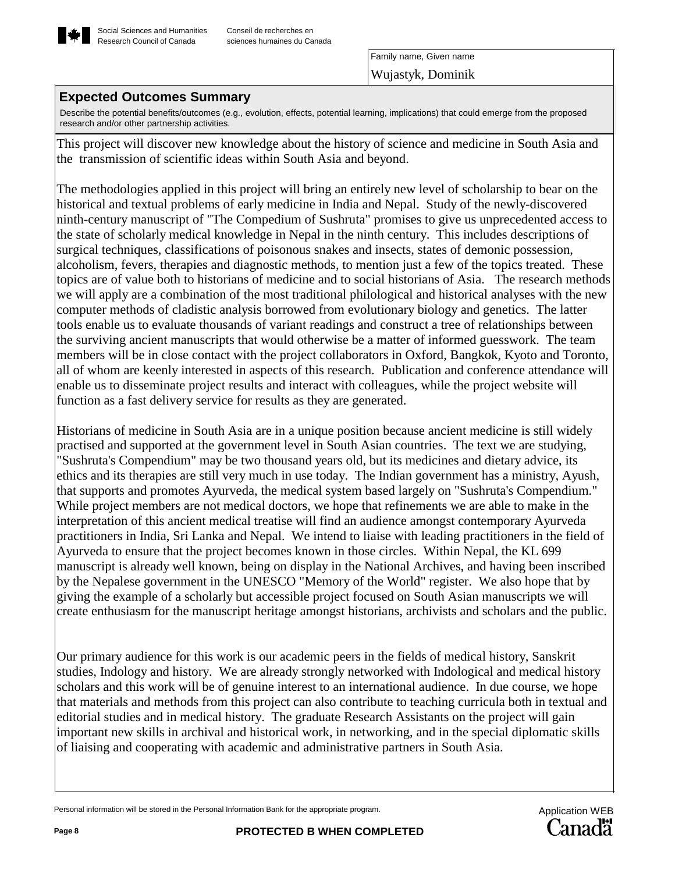

Family name, Given name Wujastyk, Dominik

# **Expected Outcomes Summary**

Describe the potential benefits/outcomes (e.g., evolution, effects, potential learning, implications) that could emerge from the proposed research and/or other partnership activities.

This project will discover new knowledge about the history of science and medicine in South Asia and the transmission of scientific ideas within South Asia and beyond.

The methodologies applied in this project will bring an entirely new level of scholarship to bear on the historical and textual problems of early medicine in India and Nepal. Study of the newly-discovered ninth-century manuscript of "The Compedium of Sushruta" promises to give us unprecedented access to the state of scholarly medical knowledge in Nepal in the ninth century. This includes descriptions of surgical techniques, classifications of poisonous snakes and insects, states of demonic possession, alcoholism, fevers, therapies and diagnostic methods, to mention just a few of the topics treated. These topics are of value both to historians of medicine and to social historians of Asia. The research methods we will apply are a combination of the most traditional philological and historical analyses with the new computer methods of cladistic analysis borrowed from evolutionary biology and genetics. The latter tools enable us to evaluate thousands of variant readings and construct a tree of relationships between the surviving ancient manuscripts that would otherwise be a matter of informed guesswork. The team members will be in close contact with the project collaborators in Oxford, Bangkok, Kyoto and Toronto, all of whom are keenly interested in aspects of this research. Publication and conference attendance will enable us to disseminate project results and interact with colleagues, while the project website will function as a fast delivery service for results as they are generated.

Historians of medicine in South Asia are in a unique position because ancient medicine is still widely practised and supported at the government level in South Asian countries. The text we are studying, "Sushruta's Compendium" may be two thousand years old, but its medicines and dietary advice, its ethics and its therapies are still very much in use today. The Indian government has a ministry, Ayush, that supports and promotes Ayurveda, the medical system based largely on "Sushruta's Compendium." While project members are not medical doctors, we hope that refinements we are able to make in the interpretation of this ancient medical treatise will find an audience amongst contemporary Ayurveda practitioners in India, Sri Lanka and Nepal. We intend to liaise with leading practitioners in the field of Ayurveda to ensure that the project becomes known in those circles. Within Nepal, the KL 699 manuscript is already well known, being on display in the National Archives, and having been inscribed by the Nepalese government in the UNESCO "Memory of the World" register. We also hope that by giving the example of a scholarly but accessible project focused on South Asian manuscripts we will create enthusiasm for the manuscript heritage amongst historians, archivists and scholars and the public.

Our primary audience for this work is our academic peers in the fields of medical history, Sanskrit studies, Indology and history. We are already strongly networked with Indological and medical history scholars and this work will be of genuine interest to an international audience. In due course, we hope that materials and methods from this project can also contribute to teaching curricula both in textual and editorial studies and in medical history. The graduate Research Assistants on the project will gain important new skills in archival and historical work, in networking, and in the special diplomatic skills of liaising and cooperating with academic and administrative partners in South Asia.

Personal information will be stored in the Personal Information Bank for the appropriate program.

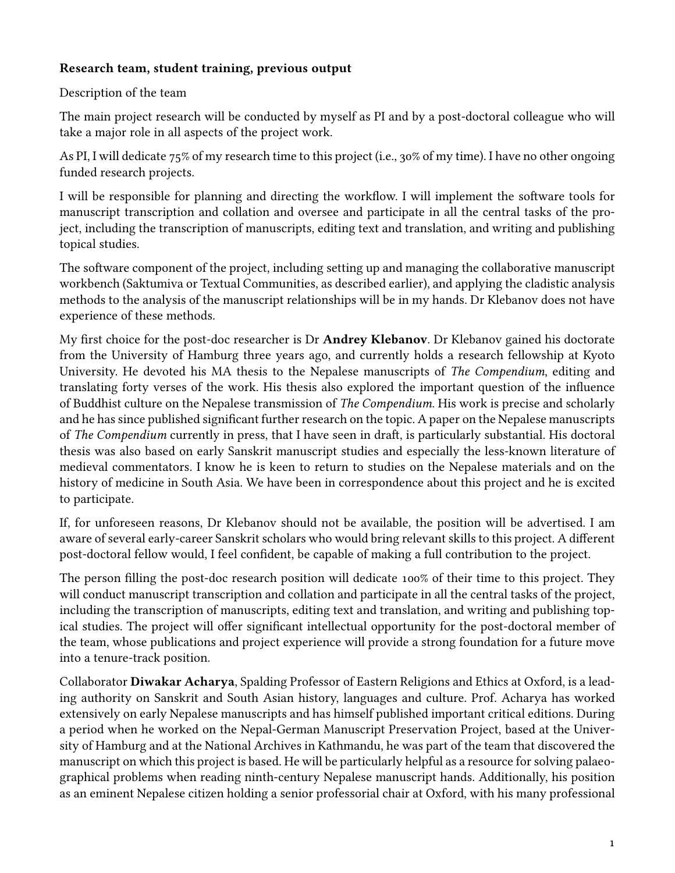### **Research team, student training, previous output**

### Description of the team

The main project research will be conducted by myself as PI and by a post-doctoral colleague who will take a major role in all aspects of the project work.

As PI, I will dedicate 75% of my research time to this project (i.e., 30% of my time). I have no other ongoing funded research projects.

I will be responsible for planning and directing the workflow. I will implement the software tools for manuscript transcription and collation and oversee and participate in all the central tasks of the project, including the transcription of manuscripts, editing text and translation, and writing and publishing topical studies.

The software component of the project, including setting up and managing the collaborative manuscript workbench (Saktumiva or Textual Communities, as described earlier), and applying the cladistic analysis methods to the analysis of the manuscript relationships will be in my hands. Dr Klebanov does not have experience of these methods.

My first choice for the post-doc researcher is Dr **Andrey Klebanov**. Dr Klebanov gained his doctorate from the University of Hamburg three years ago, and currently holds a research fellowship at Kyoto University. He devoted his MA thesis to the Nepalese manuscripts of *The Compendium*, editing and translating forty verses of the work. His thesis also explored the important question of the influence of Buddhist culture on the Nepalese transmission of *The Compendium*. His work is precise and scholarly and he has since published significant further research on the topic. A paper on the Nepalese manuscripts of *The Compendium* currently in press, that I have seen in draft, is particularly substantial. His doctoral thesis was also based on early Sanskrit manuscript studies and especially the less-known literature of medieval commentators. I know he is keen to return to studies on the Nepalese materials and on the history of medicine in South Asia. We have been in correspondence about this project and he is excited to participate.

If, for unforeseen reasons, Dr Klebanov should not be available, the position will be advertised. I am aware of several early-career Sanskrit scholars who would bring relevant skills to this project. A different post-doctoral fellow would, I feel confident, be capable of making a full contribution to the project.

The person filling the post-doc research position will dedicate 100% of their time to this project. They will conduct manuscript transcription and collation and participate in all the central tasks of the project, including the transcription of manuscripts, editing text and translation, and writing and publishing topical studies. The project will offer significant intellectual opportunity for the post-doctoral member of the team, whose publications and project experience will provide a strong foundation for a future move into a tenure-track position.

Collaborator **Diwakar Acharya**, Spalding Professor of Eastern Religions and Ethics at Oxford, is a leading authority on Sanskrit and South Asian history, languages and culture. Prof. Acharya has worked extensively on early Nepalese manuscripts and has himself published important critical editions. During a period when he worked on the Nepal-German Manuscript Preservation Project, based at the University of Hamburg and at the National Archives in Kathmandu, he was part of the team that discovered the manuscript on which this project is based. He will be particularly helpful as a resource for solving palaeographical problems when reading ninth-century Nepalese manuscript hands. Additionally, his position as an eminent Nepalese citizen holding a senior professorial chair at Oxford, with his many professional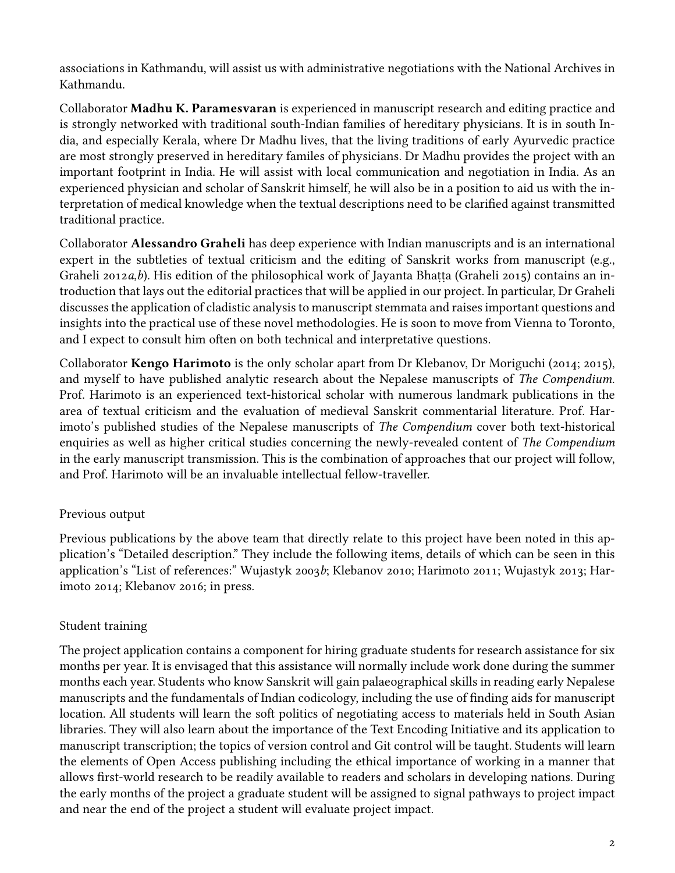associations in Kathmandu, will assist us with administrative negotiations with the National Archives in Kathmandu.

Collaborator **Madhu K. Paramesvaran** is experienced in manuscript research and editing practice and is strongly networked with traditional south-Indian families of hereditary physicians. It is in south India, and especially Kerala, where Dr Madhu lives, that the living traditions of early Ayurvedic practice are most strongly preserved in hereditary familes of physicians. Dr Madhu provides the project with an important footprint in India. He will assist with local communication and negotiation in India. As an experienced physician and scholar of Sanskrit himself, he will also be in a position to aid us with the interpretation of medical knowledge when the textual descriptions need to be clarified against transmitted traditional practice.

Collaborator **Alessandro Graheli** has deep experience with Indian manuscripts and is an international expert in the subtleties of textual criticism and the editing of Sanskrit works from manuscript (e.g., Graheli 2012*a*,*b*). His edition of the philosophical work of Jayanta Bhatta (Graheli 2015) contains an introduction that lays out the editorial practices that will be applied in our project. In particular, Dr Graheli discusses the application of cladistic analysis to manuscript stemmata and raises important questions and insights into the practical use of these novel methodologies. He is soon to move from Vienna to Toronto, and I expect to consult him often on both technical and interpretative questions.

Collaborator **Kengo Harimoto** is the only scholar apart from Dr Klebanov, Dr Moriguchi (2014; 2015), and myself to have published analytic research about the Nepalese manuscripts of *The Compendium*. Prof. Harimoto is an experienced text-historical scholar with numerous landmark publications in the area of textual criticism and the evaluation of medieval Sanskrit commentarial literature. Prof. Harimoto's published studies of the Nepalese manuscripts of *The Compendium* cover both text-historical enquiries as well as higher critical studies concerning the newly-revealed content of *The Compendium* in the early manuscript transmission. This is the combination of approaches that our project will follow, and Prof. Harimoto will be an invaluable intellectual fellow-traveller.

### Previous output

Previous publications by the above team that directly relate to this project have been noted in this application's "Detailed description." They include the following items, details of which can be seen in this application's "List of references:" Wujastyk 2003*b*; Klebanov 2010; Harimoto 2011; Wujastyk 2013; Harimoto 2014; Klebanov 2016; in press.

### Student training

The project application contains a component for hiring graduate students for research assistance for six months per year. It is envisaged that this assistance will normally include work done during the summer months each year. Students who know Sanskrit will gain palaeographical skills in reading early Nepalese manuscripts and the fundamentals of Indian codicology, including the use of finding aids for manuscript location. All students will learn the soft politics of negotiating access to materials held in South Asian libraries. They will also learn about the importance of the Text Encoding Initiative and its application to manuscript transcription; the topics of version control and Git control will be taught. Students will learn the elements of Open Access publishing including the ethical importance of working in a manner that allows first-world research to be readily available to readers and scholars in developing nations. During the early months of the project a graduate student will be assigned to signal pathways to project impact and near the end of the project a student will evaluate project impact.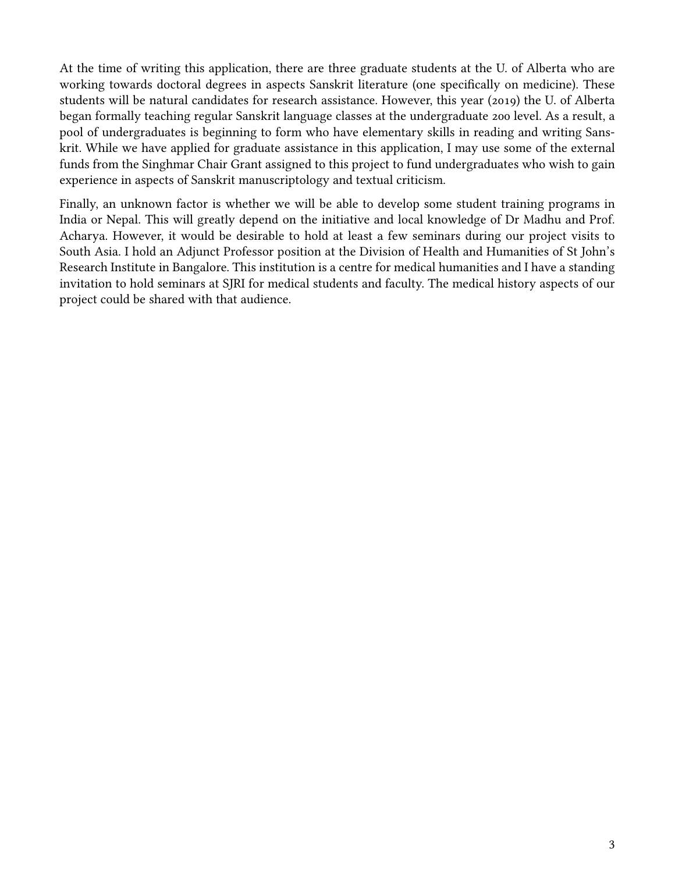At the time of writing this application, there are three graduate students at the U. of Alberta who are working towards doctoral degrees in aspects Sanskrit literature (one specifically on medicine). These students will be natural candidates for research assistance. However, this year (2019) the U. of Alberta began formally teaching regular Sanskrit language classes at the undergraduate 200 level. As a result, a pool of undergraduates is beginning to form who have elementary skills in reading and writing Sanskrit. While we have applied for graduate assistance in this application, I may use some of the external funds from the Singhmar Chair Grant assigned to this project to fund undergraduates who wish to gain experience in aspects of Sanskrit manuscriptology and textual criticism.

Finally, an unknown factor is whether we will be able to develop some student training programs in India or Nepal. This will greatly depend on the initiative and local knowledge of Dr Madhu and Prof. Acharya. However, it would be desirable to hold at least a few seminars during our project visits to South Asia. I hold an Adjunct Professor position at the Division of Health and Humanities of St John's Research Institute in Bangalore. This institution is a centre for medical humanities and I have a standing invitation to hold seminars at SJRI for medical students and faculty. The medical history aspects of our project could be shared with that audience.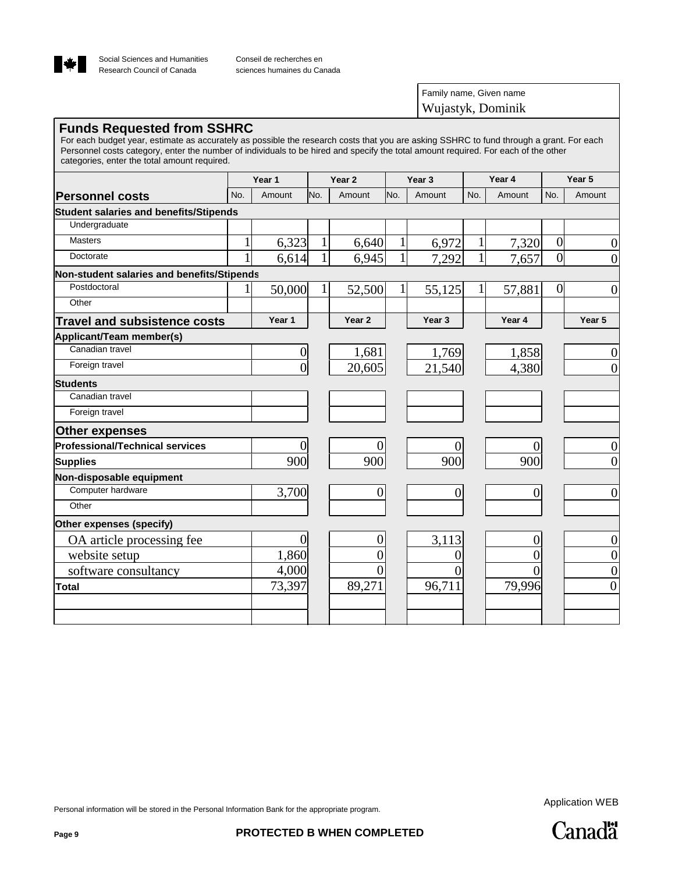

Conseil de recherches en sciences humaines du Canada

> Family name, Given name Wujastyk, Dominik

#### **Funds Requested from SSHRC**

For each budget year, estimate as accurately as possible the research costs that you are asking SSHRC to fund through a grant. For each Personnel costs category, enter the number of individuals to be hired and specify the total amount required. For each of the other categories, enter the total amount required.

|                                               |              | Year 1         |              | Year <sub>2</sub> |              | Year <sub>3</sub> |              | Year 4 |                | Year <sub>5</sub> |
|-----------------------------------------------|--------------|----------------|--------------|-------------------|--------------|-------------------|--------------|--------|----------------|-------------------|
| No.<br><b>Personnel costs</b>                 |              | Amount         | lNo.         | Amount            | lNo.         | Amount            | No.          | Amount | No.            | Amount            |
| <b>Student salaries and benefits/Stipends</b> |              |                |              |                   |              |                   |              |        |                |                   |
| Undergraduate                                 |              |                |              |                   |              |                   |              |        |                |                   |
| <b>Masters</b>                                | $\mathbf{1}$ | 6,323          | $\mathbf{1}$ | 6,640             | $\mathbf{1}$ | 6,972             | $\mathbf{1}$ | 7,320  | $\overline{0}$ | $\overline{0}$    |
| Doctorate                                     |              | 6,614          | 1            | 6,945             | $\mathbf{1}$ | 7,292             | $\mathbf{1}$ | 7,657  | $\overline{0}$ | $\overline{0}$    |
| Non-student salaries and benefits/Stipends    |              |                |              |                   |              |                   |              |        |                |                   |
| Postdoctoral                                  |              | 50,000         | 1            | 52,500            | 1            | 55,125            | 1            | 57,881 | $\overline{0}$ | $\boldsymbol{0}$  |
| Other                                         |              |                |              |                   |              |                   |              |        |                |                   |
| <b>Travel and subsistence costs</b>           |              | Year 1         |              | Year <sub>2</sub> |              | Year <sub>3</sub> |              | Year 4 |                | Year 5            |
| Applicant/Team member(s)                      |              |                |              |                   |              |                   |              |        |                |                   |
| Canadian travel                               |              | 0              |              | 1,681             |              | 1,769             |              | 1,858  |                | $\boldsymbol{0}$  |
| Foreign travel                                |              | $\overline{0}$ |              | 20,605            |              | 21,540            |              | 4,380  |                | $\overline{0}$    |
| <b>Students</b>                               |              |                |              |                   |              |                   |              |        |                |                   |
| Canadian travel                               |              |                |              |                   |              |                   |              |        |                |                   |
| Foreign travel                                |              |                |              |                   |              |                   |              |        |                |                   |
| <b>Other expenses</b>                         |              |                |              |                   |              |                   |              |        |                |                   |
| <b>Professional/Technical services</b>        |              |                |              | 0                 |              | $\theta$          |              |        |                | $\boldsymbol{0}$  |
| <b>Supplies</b>                               |              | 900            |              | 900               |              | 900               |              | 900    |                | $\overline{0}$    |
| Non-disposable equipment                      |              |                |              |                   |              |                   |              |        |                |                   |
| Computer hardware                             |              | 3,700          |              | $\overline{0}$    |              | 0                 |              | 0      |                | $\boldsymbol{0}$  |
| Other                                         |              |                |              |                   |              |                   |              |        |                |                   |
| Other expenses (specify)                      |              |                |              |                   |              |                   |              |        |                |                   |
| OA article processing fee                     |              | 0              |              | 0                 |              | 3,113             |              | 0      |                | $\boldsymbol{0}$  |
| website setup                                 |              | 1,860          |              | 0                 |              |                   |              |        |                | $\boldsymbol{0}$  |
| software consultancy                          |              | 4,000          |              | 0                 |              |                   |              |        |                | $\boldsymbol{0}$  |
| Total                                         |              | 73,397         |              | 89,271            |              | 96,711            |              | 79,996 |                | $\boldsymbol{0}$  |
|                                               |              |                |              |                   |              |                   |              |        |                |                   |
|                                               |              |                |              |                   |              |                   |              |        |                |                   |

Personal information will be stored in the Personal Information Bank for the appropriate program.

Application WEB

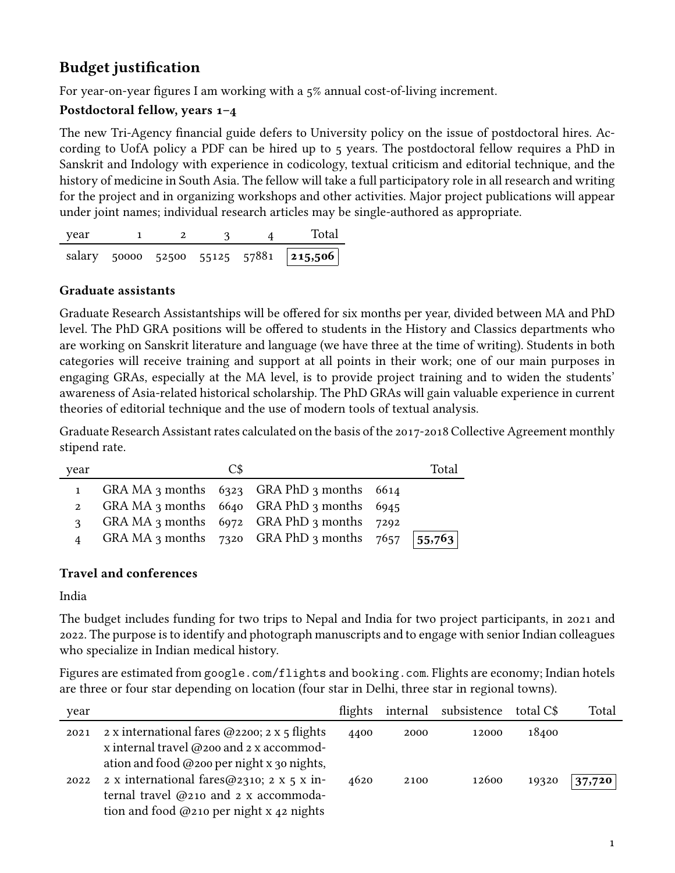# **Budget justification**

For year-on-year figures I am working with a 5% annual cost-of-living increment.

# **Postdoctoral fellow, years 1–4**

The new Tri-Agency financial guide defers to University policy on the issue of postdoctoral hires. According to UofA policy a PDF can be hired up to 5 years. The postdoctoral fellow requires a PhD in Sanskrit and Indology with experience in codicology, textual criticism and editorial technique, and the history of medicine in South Asia. The fellow will take a full participatory role in all research and writing for the project and in organizing workshops and other activities. Major project publications will appear under joint names; individual research articles may be single-authored as appropriate.

| year |  |  | Total                                         |
|------|--|--|-----------------------------------------------|
|      |  |  | salary 50000 52500 55125 57881 <b>215,506</b> |

### **Graduate assistants**

Graduate Research Assistantships will be offered for six months per year, divided between MA and PhD level. The PhD GRA positions will be offered to students in the History and Classics departments who are working on Sanskrit literature and language (we have three at the time of writing). Students in both categories will receive training and support at all points in their work; one of our main purposes in engaging GRAs, especially at the MA level, is to provide project training and to widen the students' awareness of Asia-related historical scholarship. The PhD GRAs will gain valuable experience in current theories of editorial technique and the use of modern tools of textual analysis.

Graduate Research Assistant rates calculated on the basis of the 2017-2018 Collective Agreement monthly stipend rate.

| year         | C\$ |                                                | Total  |
|--------------|-----|------------------------------------------------|--------|
|              |     | GRA MA 3 months $6323$ GRA PhD 3 months $6614$ |        |
| $\mathbf{2}$ |     | GRA MA 3 months $6640$ GRA PhD 3 months $6945$ |        |
|              |     | GRA MA 3 months $6972$ GRA PhD 3 months $7292$ |        |
|              |     | GRA MA 3 months $7320$ GRA PhD 3 months $7657$ | 55,763 |

### **Travel and conferences**

India

The budget includes funding for two trips to Nepal and India for two project participants, in 2021 and 2022. The purpose isto identify and photograph manuscripts and to engage with senior Indian colleagues who specialize in Indian medical history.

Figures are estimated from google.com/flights and booking.com. Flights are economy; Indian hotels are three or four star depending on location (four star in Delhi, three star in regional towns).

| year |                                                     | flights | internal | subsistence | total C\$ | Total  |
|------|-----------------------------------------------------|---------|----------|-------------|-----------|--------|
| 2021 | 2 x international fares $@2200; 2 \times 5$ flights | 4400    | 2000     | 12000       | 18400     |        |
|      | x internal travel $@$ 200 and 2 x accommod-         |         |          |             |           |        |
|      | ation and food @200 per night x 30 nights,          |         |          |             |           |        |
| 2022 | 2 x international fares@2310; 2 x 5 x in-           | 4620    | 2100     | 12600       | 19320     | 37,720 |
|      | ternal travel @210 and 2 x accommoda-               |         |          |             |           |        |
|      | tion and food $@$ 210 per night x 42 nights         |         |          |             |           |        |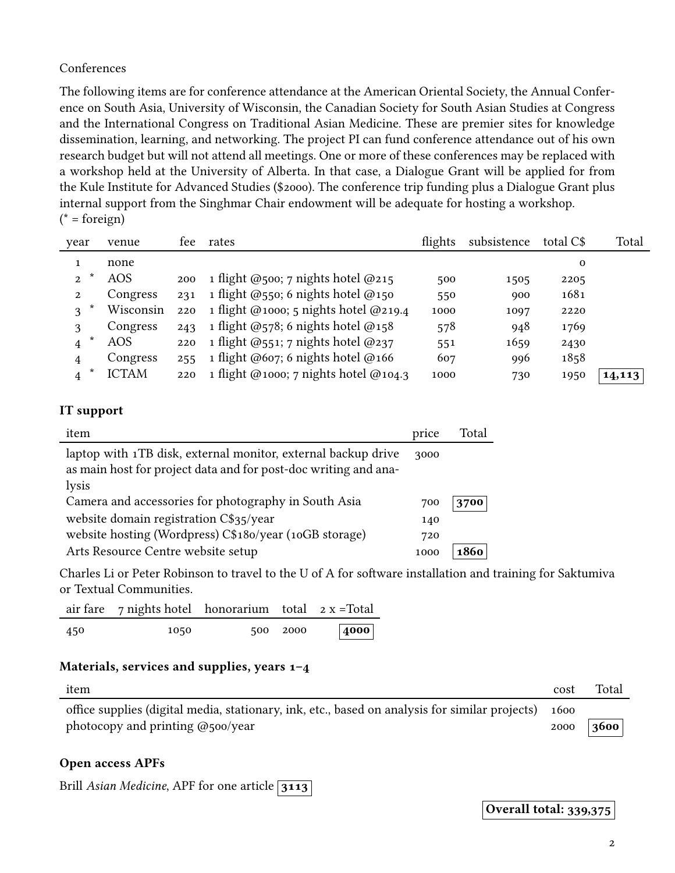#### Conferences

The following items are for conference attendance at the American Oriental Society, the Annual Conference on South Asia, University of Wisconsin, the Canadian Society for South Asian Studies at Congress and the International Congress on Traditional Asian Medicine. These are premier sites for knowledge dissemination, learning, and networking. The project PI can fund conference attendance out of his own research budget but will not attend all meetings. One or more of these conferences may be replaced with a workshop held at the University of Alberta. In that case, a Dialogue Grant will be applied for from the Kule Institute for Advanced Studies (\$2000). The conference trip funding plus a Dialogue Grant plus internal support from the Singhmar Chair endowment will be adequate for hosting a workshop.  $(* = foreign)$ 

| year           | venue        | tee | rates                                   | flights | subsistence | total C\$   | Total  |
|----------------|--------------|-----|-----------------------------------------|---------|-------------|-------------|--------|
|                | none         |     |                                         |         |             | $\mathbf 0$ |        |
| $\overline{2}$ | <b>AOS</b>   | 200 | 1 flight @500; 7 nights hotel @215      | 500     | 1505        | 2205        |        |
| 2              | Congress     | 231 | 1 flight @550; 6 nights hotel @150      | 550     | 900         | 1681        |        |
| 3              | Wisconsin    | 220 | 1 flight @1000; 5 nights hotel @219.4   | 1000    | 1097        | 2220        |        |
| 3              | Congress     | 243 | 1 flight $@578$ ; 6 nights hotel $@158$ | 578     | 948         | 1769        |        |
| 4              | AOS          | 220 | 1 flight @551; 7 nights hotel @237      | 551     | 1659        | 2430        |        |
| 4              | Congress     | 255 | 1 flight $@607;$ 6 nights hotel $@166$  | 607     | 996         | 1858        |        |
| *<br>4         | <b>ICTAM</b> | 220 | 1 flight @1000; 7 nights hotel @104.3   | 1000    | 730         | 1950        | 14,113 |

### **IT support**

| item                                                            | price | Total |
|-----------------------------------------------------------------|-------|-------|
| laptop with 1TB disk, external monitor, external backup drive   | 3000  |       |
| as main host for project data and for post-doc writing and ana- |       |       |
| lysis                                                           |       |       |
| Camera and accessories for photography in South Asia            | 700   | 3700  |
| website domain registration C\$35/year                          | 140   |       |
| website hosting (Wordpress) C\$180/year (10GB storage)          | 720   |       |
| Arts Resource Centre website setup                              | 1000  | 1860  |

Charles Li or Peter Robinson to travel to the U of A for software installation and training for Saktumiva or Textual Communities.

|     | air fare $\gamma$ nights hotel honorarium total $2 \times$ =Total |          |               |
|-----|-------------------------------------------------------------------|----------|---------------|
| 450 | 1050                                                              | 500 2000 | $\sqrt{4000}$ |

#### **Materials, services and supplies, years 1–4**

| item                                                                                           | cost | Total |
|------------------------------------------------------------------------------------------------|------|-------|
| office supplies (digital media, stationary, ink, etc., based on analysis for similar projects) | 1600 |       |
| photocopy and printing @500/year                                                               | 2000 | 3600  |

#### **Open access APFs**

Brill *Asian Medicine*, APF for one article **3113**

# **Overall total: 339,375**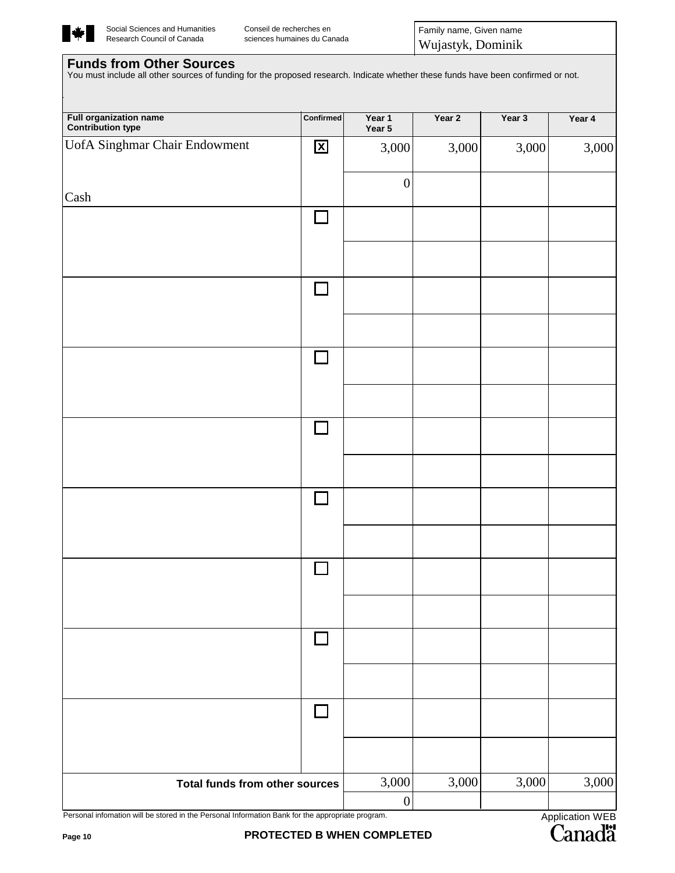

Conseil de recherches en sciences humaines du Canada Family name, Given name Wujastyk, Dominik

# **Funds from Other Sources**

You must include all other sources of funding for the proposed research. Indicate whether these funds have been confirmed or not.

| <b>Full organization name</b><br>Contribution type                                               | Confirmed            | Year 1<br>Year 5           | Year 2 | Year 3 | Year 4          |
|--------------------------------------------------------------------------------------------------|----------------------|----------------------------|--------|--------|-----------------|
| <b>UofA Singhmar Chair Endowment</b>                                                             | $\mathbf{x}$         | 3,000                      | 3,000  | 3,000  | 3,000           |
|                                                                                                  |                      | $\boldsymbol{0}$           |        |        |                 |
| Cash                                                                                             |                      |                            |        |        |                 |
|                                                                                                  | <b>Simple Street</b> |                            |        |        |                 |
|                                                                                                  |                      |                            |        |        |                 |
|                                                                                                  |                      |                            |        |        |                 |
|                                                                                                  | П                    |                            |        |        |                 |
|                                                                                                  |                      |                            |        |        |                 |
|                                                                                                  |                      |                            |        |        |                 |
|                                                                                                  | $\sim$               |                            |        |        |                 |
|                                                                                                  |                      |                            |        |        |                 |
|                                                                                                  |                      |                            |        |        |                 |
|                                                                                                  |                      |                            |        |        |                 |
|                                                                                                  |                      |                            |        |        |                 |
|                                                                                                  |                      |                            |        |        |                 |
|                                                                                                  | $\mathbf{I}$         |                            |        |        |                 |
|                                                                                                  |                      |                            |        |        |                 |
|                                                                                                  |                      |                            |        |        |                 |
|                                                                                                  | $\sim$               |                            |        |        |                 |
|                                                                                                  |                      |                            |        |        |                 |
|                                                                                                  |                      |                            |        |        |                 |
|                                                                                                  |                      |                            |        |        |                 |
|                                                                                                  |                      |                            |        |        |                 |
|                                                                                                  |                      |                            |        |        |                 |
|                                                                                                  |                      |                            |        |        |                 |
|                                                                                                  |                      |                            |        |        |                 |
|                                                                                                  |                      |                            |        |        |                 |
| Total funds from other sources                                                                   |                      | 3,000                      | 3,000  | 3,000  | 3,000           |
| Personal infomation will be stored in the Personal Information Bank for the appropriate program. |                      | $\boldsymbol{0}$           |        |        |                 |
| Page 10                                                                                          |                      | PROTECTED B WHEN COMPLETED |        |        | Application WEB |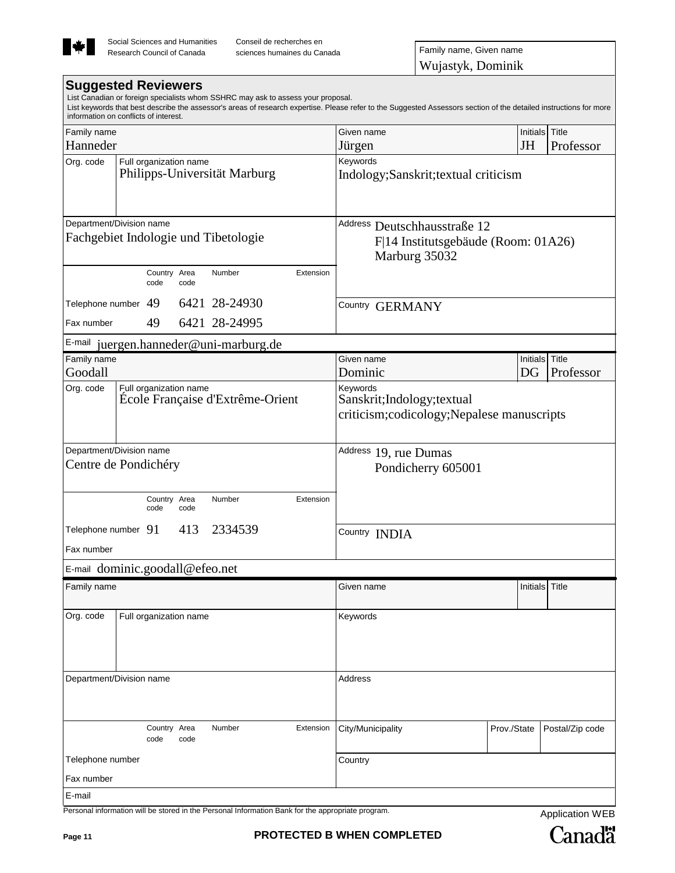

Wujastyk, Dominik

#### **Suggested Reviewers**

List Canadian or foreign specialists whom SSHRC may ask to assess your proposal.

|                                      | information on conflicts of interest. |      |                                                      |           | List keywords that best describe the assessor's areas of research expertise. Please refer to the Suggested Assessors section of the detailed instructions for more |                 |                 |  |  |
|--------------------------------------|---------------------------------------|------|------------------------------------------------------|-----------|--------------------------------------------------------------------------------------------------------------------------------------------------------------------|-----------------|-----------------|--|--|
| Family name                          |                                       |      |                                                      |           | Given name                                                                                                                                                         |                 | Initials Title  |  |  |
| Hanneder                             |                                       |      |                                                      |           | Jürgen                                                                                                                                                             | <b>JH</b>       | Professor       |  |  |
| Org. code                            | Full organization name                |      |                                                      |           | Keywords                                                                                                                                                           |                 |                 |  |  |
|                                      |                                       |      | Philipps-Universität Marburg                         |           | Indology;Sanskrit;textual criticism                                                                                                                                |                 |                 |  |  |
|                                      | Department/Division name              |      |                                                      |           | Address Deutschhausstraße 12                                                                                                                                       |                 |                 |  |  |
| Fachgebiet Indologie und Tibetologie |                                       |      | F 14 Institutsgebäude (Room: 01A26)<br>Marburg 35032 |           |                                                                                                                                                                    |                 |                 |  |  |
|                                      | Country Area<br>code                  | code | Number                                               | Extension |                                                                                                                                                                    |                 |                 |  |  |
| Telephone number                     | 49                                    |      | 6421 28-24930                                        |           | Country GERMANY                                                                                                                                                    |                 |                 |  |  |
| Fax number                           | 49                                    |      | 6421 28-24995                                        |           |                                                                                                                                                                    |                 |                 |  |  |
| E-mail                               |                                       |      | juergen.hanneder@uni-marburg.de                      |           |                                                                                                                                                                    |                 |                 |  |  |
| Family name                          |                                       |      |                                                      |           | Given name                                                                                                                                                         | Initials        | Title           |  |  |
| Goodall                              |                                       |      |                                                      |           | Dominic                                                                                                                                                            | DG              | Professor       |  |  |
| Org. code                            | Full organization name                |      | École Française d'Extrême-Orient                     |           | Keywords<br>Sanskrit; Indology; textual<br>criticism;codicology;Nepalese manuscripts                                                                               |                 |                 |  |  |
|                                      | Department/Division name              |      |                                                      |           | Address 19, rue Dumas                                                                                                                                              |                 |                 |  |  |
|                                      | Centre de Pondichéry                  |      |                                                      |           | Pondicherry 605001                                                                                                                                                 |                 |                 |  |  |
|                                      | Country Area<br>code                  | code | Number                                               | Extension |                                                                                                                                                                    |                 |                 |  |  |
| Telephone number $91$                |                                       | 413  | 2334539                                              |           | Country INDIA                                                                                                                                                      |                 |                 |  |  |
| Fax number                           |                                       |      |                                                      |           |                                                                                                                                                                    |                 |                 |  |  |
|                                      | E-mail dominic.goodall@efeo.net       |      |                                                      |           |                                                                                                                                                                    |                 |                 |  |  |
| Family name                          |                                       |      |                                                      |           | Given name                                                                                                                                                         | <b>Initials</b> | Title           |  |  |
| Org. code                            | Full organization name                |      |                                                      |           | Keywords                                                                                                                                                           |                 |                 |  |  |
|                                      | Department/Division name              |      |                                                      |           | Address                                                                                                                                                            |                 |                 |  |  |
|                                      |                                       |      |                                                      |           |                                                                                                                                                                    |                 |                 |  |  |
|                                      | Country Area<br>code                  | code | Number                                               | Extension | City/Municipality                                                                                                                                                  | Prov./State     | Postal/Zip code |  |  |
| Telephone number                     |                                       |      |                                                      |           | Country                                                                                                                                                            |                 |                 |  |  |
| Fax number                           |                                       |      |                                                      |           |                                                                                                                                                                    |                 |                 |  |  |
| E-mail                               |                                       |      |                                                      |           |                                                                                                                                                                    |                 |                 |  |  |

Personal information will be stored in the Personal Information Bank for the appropriate program.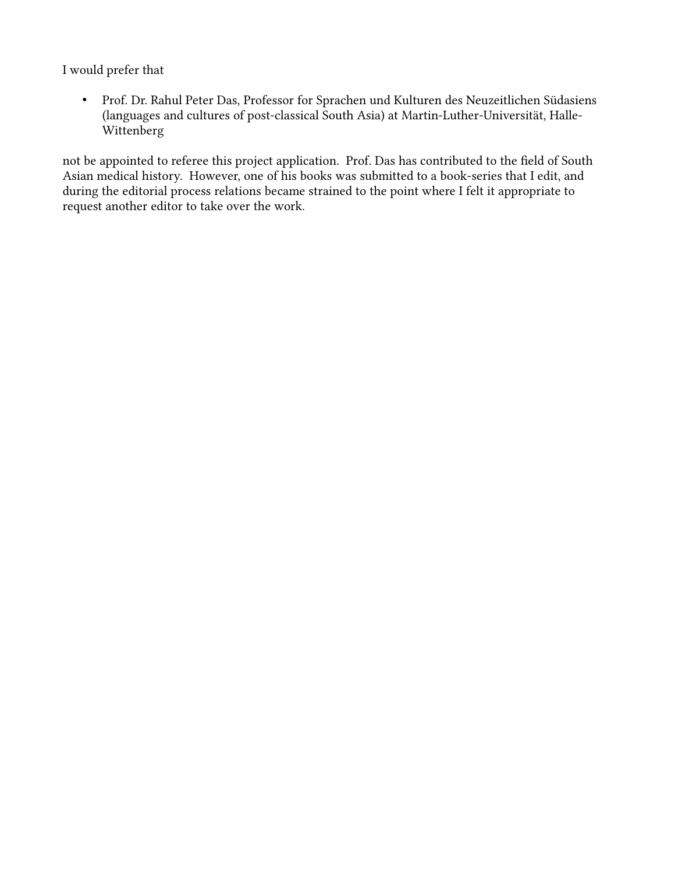I would prefer that

• Prof. Dr. Rahul Peter Das, Professor for Sprachen und Kulturen des Neuzeitlichen Südasiens (languages and cultures of post-classical South Asia) at Martin-Luther-Universität, Halle-Wittenberg

not be appointed to referee this project application. Prof. Das has contributed to the field of South Asian medical history. However, one of his books was submitted to a book-series that I edit, and during the editorial process relations became strained to the point where I felt it appropriate to request another editor to take over the work.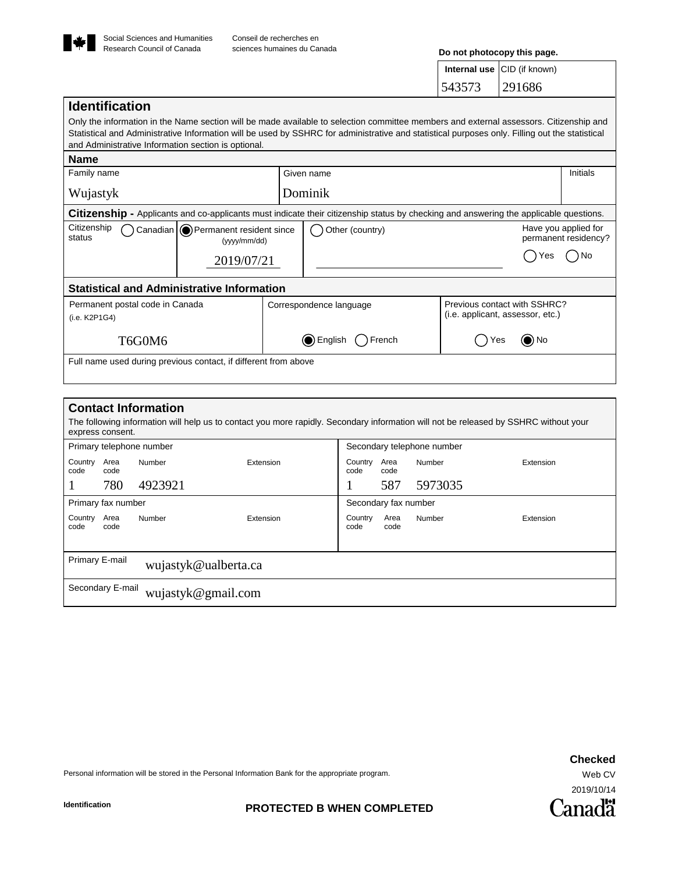

#### **Do not photocopy this page.**

**Internal use** CID (if known) 543573 291686

|                                                                                        |                                                                                                                                                                                                                                                                                          |  |                                                                                                                                              | ں ، ب ب                                                          | ----   |          |  |  |
|----------------------------------------------------------------------------------------|------------------------------------------------------------------------------------------------------------------------------------------------------------------------------------------------------------------------------------------------------------------------------------------|--|----------------------------------------------------------------------------------------------------------------------------------------------|------------------------------------------------------------------|--------|----------|--|--|
| <b>Identification</b>                                                                  |                                                                                                                                                                                                                                                                                          |  |                                                                                                                                              |                                                                  |        |          |  |  |
|                                                                                        | Only the information in the Name section will be made available to selection committee members and external assessors. Citizenship and<br>Statistical and Administrative Information will be used by SSHRC for administrative and statistical purposes only. Filling out the statistical |  |                                                                                                                                              |                                                                  |        |          |  |  |
| and Administrative Information section is optional.                                    |                                                                                                                                                                                                                                                                                          |  |                                                                                                                                              |                                                                  |        |          |  |  |
| <b>Name</b>                                                                            |                                                                                                                                                                                                                                                                                          |  |                                                                                                                                              |                                                                  |        |          |  |  |
| Family name                                                                            |                                                                                                                                                                                                                                                                                          |  | Given name                                                                                                                                   |                                                                  |        | Initials |  |  |
| Wujastyk                                                                               | Dominik                                                                                                                                                                                                                                                                                  |  |                                                                                                                                              |                                                                  |        |          |  |  |
|                                                                                        |                                                                                                                                                                                                                                                                                          |  | <b>Citizenship</b> - Applicants and co-applicants must indicate their citizenship status by checking and answering the applicable questions. |                                                                  |        |          |  |  |
| Citizenship<br>Canadian $ $ $\odot$ Permanent resident since<br>status<br>(yyyy/mm/dd) |                                                                                                                                                                                                                                                                                          |  | Other (country)                                                                                                                              | Have you applied for<br>permanent residency?                     |        |          |  |  |
|                                                                                        | 2019/07/21                                                                                                                                                                                                                                                                               |  |                                                                                                                                              |                                                                  | ′es    | No       |  |  |
| <b>Statistical and Administrative Information</b>                                      |                                                                                                                                                                                                                                                                                          |  |                                                                                                                                              |                                                                  |        |          |  |  |
| Permanent postal code in Canada<br>(i.e. K2P1G4)                                       |                                                                                                                                                                                                                                                                                          |  | Correspondence language                                                                                                                      | Previous contact with SSHRC?<br>(i.e. applicant, assessor, etc.) |        |          |  |  |
| T6G0M6                                                                                 |                                                                                                                                                                                                                                                                                          |  | $\bullet$ English<br>) French                                                                                                                | Yes                                                              | (●) No |          |  |  |
| Full name used during previous contact, if different from above                        |                                                                                                                                                                                                                                                                                          |  |                                                                                                                                              |                                                                  |        |          |  |  |

|                 | <b>Contact Information</b><br>The following information will help us to contact you more rapidly. Secondary information will not be released by SSHRC without your<br>express consent. |                          |           |                      |              |                            |           |  |  |
|-----------------|----------------------------------------------------------------------------------------------------------------------------------------------------------------------------------------|--------------------------|-----------|----------------------|--------------|----------------------------|-----------|--|--|
|                 |                                                                                                                                                                                        | Primary telephone number |           |                      |              | Secondary telephone number |           |  |  |
| Country<br>code | Area<br>code                                                                                                                                                                           | Number                   | Extension | Country<br>code      | Area<br>code | Number                     | Extension |  |  |
| -1              | 780                                                                                                                                                                                    | 4923921                  |           |                      | 587          | 5973035                    |           |  |  |
|                 | Primary fax number                                                                                                                                                                     |                          |           | Secondary fax number |              |                            |           |  |  |
| Country<br>code | Area<br>code                                                                                                                                                                           | Number                   | Extension | Country<br>code      | Area<br>code | Number                     | Extension |  |  |
| Primary E-mail  |                                                                                                                                                                                        | wujastyk@ualberta.ca     |           |                      |              |                            |           |  |  |
|                 | Secondary E-mail                                                                                                                                                                       | wujastyk@gmail.com       |           |                      |              |                            |           |  |  |

Personal information will be stored in the Personal Information Bank for the appropriate program.

**PROTECTED B WHEN COMPLETED**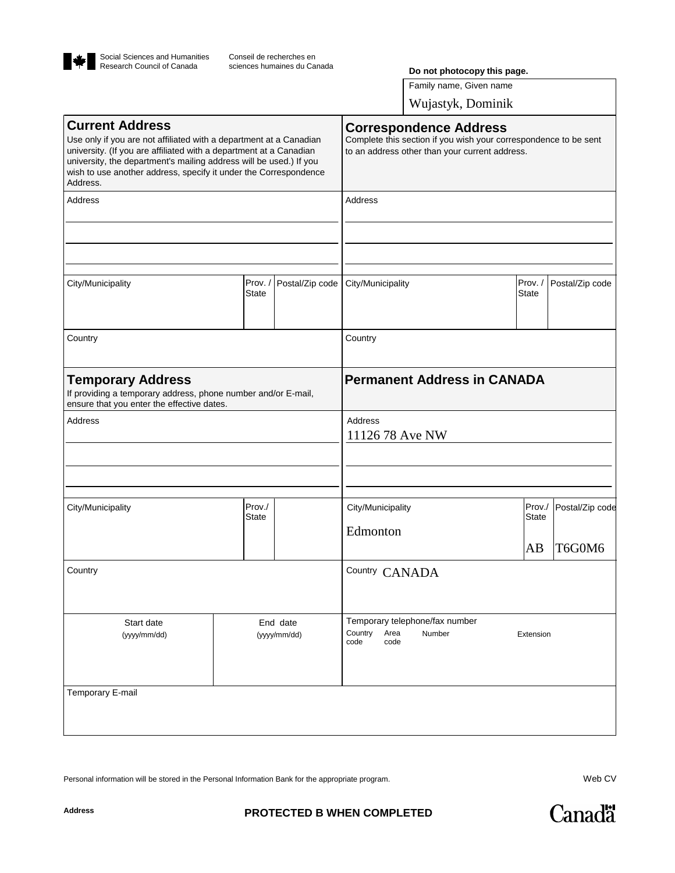

**Do not photocopy this page.**

Family name, Given name

Wujastyk, Dominik

| <b>Current Address</b><br>Use only if you are not affiliated with a department at a Canadian<br>university. (If you are affiliated with a department at a Canadian<br>university, the department's mailing address will be used.) If you<br>wish to use another address, specify it under the Correspondence<br>Address. |                        |                          | <b>Correspondence Address</b><br>Complete this section if you wish your correspondence to be sent<br>to an address other than your current address. |                              |                           |  |  |
|--------------------------------------------------------------------------------------------------------------------------------------------------------------------------------------------------------------------------------------------------------------------------------------------------------------------------|------------------------|--------------------------|-----------------------------------------------------------------------------------------------------------------------------------------------------|------------------------------|---------------------------|--|--|
| Address                                                                                                                                                                                                                                                                                                                  |                        |                          | <b>Address</b>                                                                                                                                      |                              |                           |  |  |
| City/Municipality                                                                                                                                                                                                                                                                                                        | Prov./<br><b>State</b> | Postal/Zip code          | City/Municipality                                                                                                                                   | Prov./<br><b>State</b>       | Postal/Zip code           |  |  |
| Country                                                                                                                                                                                                                                                                                                                  |                        |                          | Country                                                                                                                                             |                              |                           |  |  |
| <b>Temporary Address</b><br>If providing a temporary address, phone number and/or E-mail,<br>ensure that you enter the effective dates.                                                                                                                                                                                  |                        |                          | <b>Permanent Address in CANADA</b>                                                                                                                  |                              |                           |  |  |
| Address                                                                                                                                                                                                                                                                                                                  |                        |                          | Address<br>11126 78 Ave NW                                                                                                                          |                              |                           |  |  |
| City/Municipality                                                                                                                                                                                                                                                                                                        | Prov./<br>State        |                          | City/Municipality<br>Edmonton                                                                                                                       | Prov./<br><b>State</b><br>AВ | Postal/Zip code<br>T6G0M6 |  |  |
| Country                                                                                                                                                                                                                                                                                                                  |                        |                          | Country CANADA                                                                                                                                      |                              |                           |  |  |
| Start date<br>(yyyy/mm/dd)                                                                                                                                                                                                                                                                                               |                        | End date<br>(yyyy/mm/dd) | Temporary telephone/fax number<br>Country<br>Area<br>Number<br>Extension<br>code<br>code                                                            |                              |                           |  |  |
| Temporary E-mail                                                                                                                                                                                                                                                                                                         |                        |                          |                                                                                                                                                     |                              |                           |  |  |

Personal information will be stored in the Personal Information Bank for the appropriate program.

Web CV

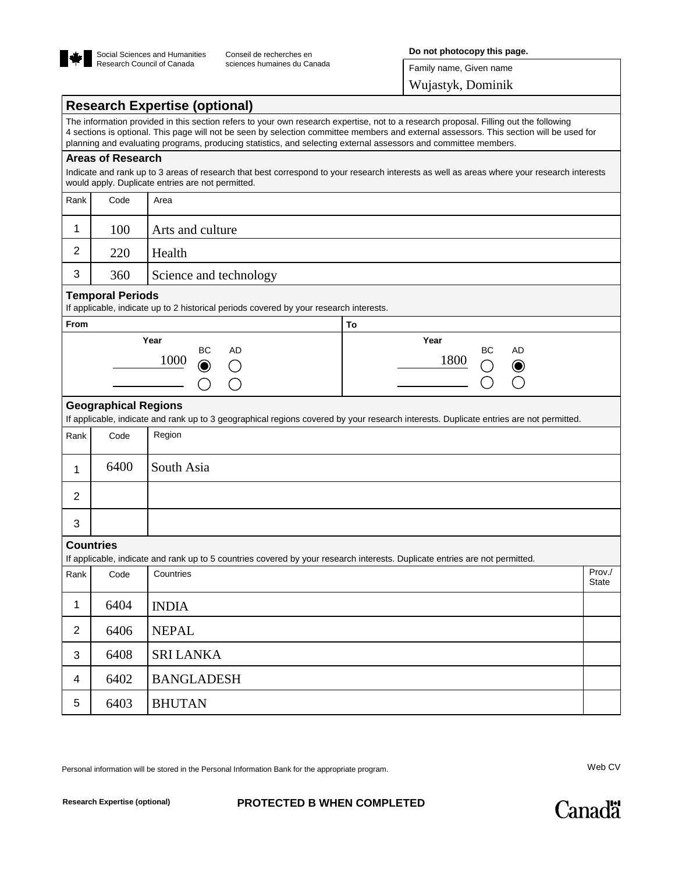

**Do not photocopy this page.**

Family name, Given name

Wujastyk, Dominik

|                |                                                                                                                                                                                                                                                                                                                                                                                                     | <b>Research Expertise (optional)</b>                                                                                                                                                            |              |  |  |  |  |  |
|----------------|-----------------------------------------------------------------------------------------------------------------------------------------------------------------------------------------------------------------------------------------------------------------------------------------------------------------------------------------------------------------------------------------------------|-------------------------------------------------------------------------------------------------------------------------------------------------------------------------------------------------|--------------|--|--|--|--|--|
|                | The information provided in this section refers to your own research expertise, not to a research proposal. Filling out the following<br>4 sections is optional. This page will not be seen by selection committee members and external assessors. This section will be used for<br>planning and evaluating programs, producing statistics, and selecting external assessors and committee members. |                                                                                                                                                                                                 |              |  |  |  |  |  |
|                | <b>Areas of Research</b>                                                                                                                                                                                                                                                                                                                                                                            |                                                                                                                                                                                                 |              |  |  |  |  |  |
|                |                                                                                                                                                                                                                                                                                                                                                                                                     | Indicate and rank up to 3 areas of research that best correspond to your research interests as well as areas where your research interests<br>would apply. Duplicate entries are not permitted. |              |  |  |  |  |  |
| Rank           | Code                                                                                                                                                                                                                                                                                                                                                                                                | Area                                                                                                                                                                                            |              |  |  |  |  |  |
| 1              | 100                                                                                                                                                                                                                                                                                                                                                                                                 | Arts and culture                                                                                                                                                                                |              |  |  |  |  |  |
| 2              | 220                                                                                                                                                                                                                                                                                                                                                                                                 | Health                                                                                                                                                                                          |              |  |  |  |  |  |
| 3              | 360                                                                                                                                                                                                                                                                                                                                                                                                 | Science and technology                                                                                                                                                                          |              |  |  |  |  |  |
|                | <b>Temporal Periods</b>                                                                                                                                                                                                                                                                                                                                                                             | If applicable, indicate up to 2 historical periods covered by your research interests.                                                                                                          |              |  |  |  |  |  |
| From           |                                                                                                                                                                                                                                                                                                                                                                                                     | To                                                                                                                                                                                              |              |  |  |  |  |  |
|                |                                                                                                                                                                                                                                                                                                                                                                                                     | Year<br>Year<br>AD<br>BС<br>AD<br>BС<br>1800<br>1000<br>$\textcolor{blue}{\bullet}$                                                                                                             |              |  |  |  |  |  |
|                | <b>Geographical Regions</b>                                                                                                                                                                                                                                                                                                                                                                         |                                                                                                                                                                                                 |              |  |  |  |  |  |
|                |                                                                                                                                                                                                                                                                                                                                                                                                     | If applicable, indicate and rank up to 3 geographical regions covered by your research interests. Duplicate entries are not permitted.                                                          |              |  |  |  |  |  |
| Rank           | Code                                                                                                                                                                                                                                                                                                                                                                                                | Region                                                                                                                                                                                          |              |  |  |  |  |  |
| 1              | 6400                                                                                                                                                                                                                                                                                                                                                                                                | South Asia                                                                                                                                                                                      |              |  |  |  |  |  |
| 2              |                                                                                                                                                                                                                                                                                                                                                                                                     |                                                                                                                                                                                                 |              |  |  |  |  |  |
| 3              |                                                                                                                                                                                                                                                                                                                                                                                                     |                                                                                                                                                                                                 |              |  |  |  |  |  |
|                | <b>Countries</b>                                                                                                                                                                                                                                                                                                                                                                                    |                                                                                                                                                                                                 |              |  |  |  |  |  |
| Rank           | Code                                                                                                                                                                                                                                                                                                                                                                                                | If applicable, indicate and rank up to 5 countries covered by your research interests. Duplicate entries are not permitted.<br>Countries                                                        | Prov./       |  |  |  |  |  |
|                |                                                                                                                                                                                                                                                                                                                                                                                                     |                                                                                                                                                                                                 | <b>State</b> |  |  |  |  |  |
| 1              | 6404                                                                                                                                                                                                                                                                                                                                                                                                | <b>INDIA</b>                                                                                                                                                                                    |              |  |  |  |  |  |
| $\overline{2}$ | 6406                                                                                                                                                                                                                                                                                                                                                                                                | <b>NEPAL</b>                                                                                                                                                                                    |              |  |  |  |  |  |
| 3              | 6408                                                                                                                                                                                                                                                                                                                                                                                                | <b>SRI LANKA</b>                                                                                                                                                                                |              |  |  |  |  |  |
| 4              | 6402                                                                                                                                                                                                                                                                                                                                                                                                | <b>BANGLADESH</b>                                                                                                                                                                               |              |  |  |  |  |  |
| 5              | 6403                                                                                                                                                                                                                                                                                                                                                                                                | <b>BHUTAN</b>                                                                                                                                                                                   |              |  |  |  |  |  |

Personal information will be stored in the Personal Information Bank for the appropriate program.

**Canadä**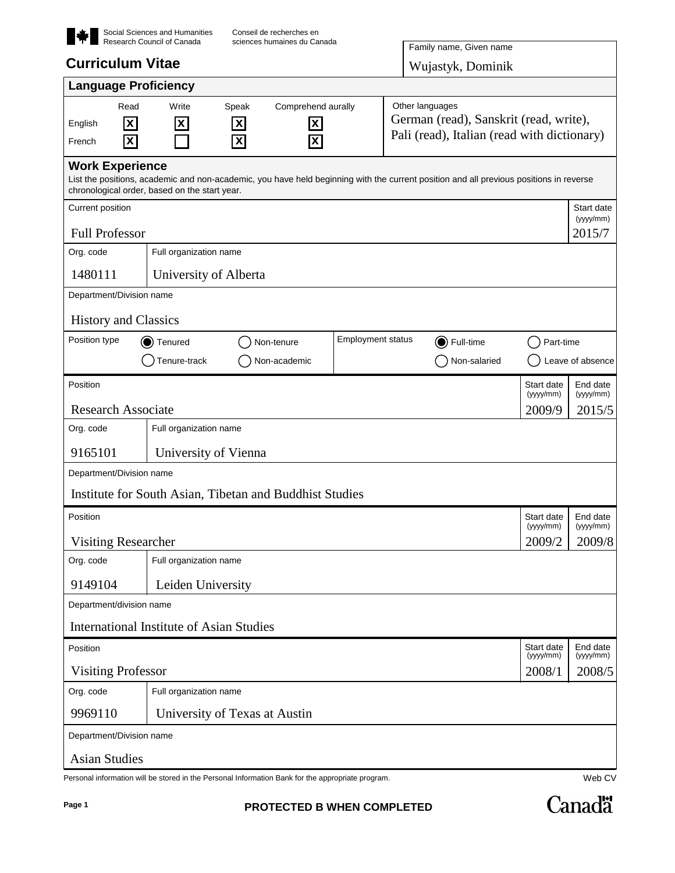|                                                 | Social Sciences and Humanities<br>Research Council of Canada | Conseil de recherches en<br>sciences humaines du Canada                                                                                |                          |                 |                                             |                         |                        |
|-------------------------------------------------|--------------------------------------------------------------|----------------------------------------------------------------------------------------------------------------------------------------|--------------------------|-----------------|---------------------------------------------|-------------------------|------------------------|
| <b>Curriculum Vitae</b>                         | Family name, Given name                                      |                                                                                                                                        |                          |                 |                                             |                         |                        |
| Wujastyk, Dominik                               |                                                              |                                                                                                                                        |                          |                 |                                             |                         |                        |
| <b>Language Proficiency</b>                     |                                                              |                                                                                                                                        |                          |                 |                                             |                         |                        |
| Read<br>$\pmb{\mathsf{x}}$<br>English           | Write<br>X                                                   | Comprehend aurally<br>Speak<br>$\boldsymbol{\mathsf{X}}$<br>$\pmb{\mathsf{x}}$                                                         |                          | Other languages | German (read), Sanskrit (read, write),      |                         |                        |
| $\overline{\mathbf{x}}$<br>French               |                                                              | $\overline{\mathbf{x}}$<br>X.                                                                                                          |                          |                 | Pali (read), Italian (read with dictionary) |                         |                        |
| <b>Work Experience</b>                          |                                                              |                                                                                                                                        |                          |                 |                                             |                         |                        |
| chronological order, based on the start year.   |                                                              | List the positions, academic and non-academic, you have held beginning with the current position and all previous positions in reverse |                          |                 |                                             |                         |                        |
| Current position                                |                                                              |                                                                                                                                        |                          |                 |                                             |                         | Start date<br>(yyy/mm) |
| <b>Full Professor</b>                           |                                                              |                                                                                                                                        |                          |                 |                                             |                         | 2015/7                 |
| Org. code                                       | Full organization name                                       |                                                                                                                                        |                          |                 |                                             |                         |                        |
| 1480111                                         | University of Alberta                                        |                                                                                                                                        |                          |                 |                                             |                         |                        |
| Department/Division name                        |                                                              |                                                                                                                                        |                          |                 |                                             |                         |                        |
| <b>History and Classics</b>                     |                                                              |                                                                                                                                        |                          |                 |                                             |                         |                        |
| Position type                                   | Tenured                                                      | Non-tenure                                                                                                                             | <b>Employment status</b> |                 | Full-time                                   | Part-time               |                        |
|                                                 | Tenure-track                                                 | Non-academic                                                                                                                           |                          |                 | Non-salaried                                |                         | Leave of absence       |
| Position                                        |                                                              |                                                                                                                                        |                          |                 |                                             | Start date              | End date               |
| <b>Research Associate</b>                       |                                                              |                                                                                                                                        |                          |                 |                                             | (yyyy/mm)<br>2009/9     | (yyyy/mm)<br>2015/5    |
| Org. code                                       | Full organization name                                       |                                                                                                                                        |                          |                 |                                             |                         |                        |
| 9165101                                         | University of Vienna                                         |                                                                                                                                        |                          |                 |                                             |                         |                        |
| Department/Division name                        |                                                              |                                                                                                                                        |                          |                 |                                             |                         |                        |
|                                                 |                                                              | Institute for South Asian, Tibetan and Buddhist Studies                                                                                |                          |                 |                                             |                         |                        |
| Position                                        |                                                              |                                                                                                                                        |                          |                 |                                             | Start date<br>(yyyy/mm) | End date<br>(yyyy/mm)  |
| <b>Visiting Researcher</b>                      |                                                              |                                                                                                                                        |                          |                 |                                             | 2009/2                  | 2009/8                 |
| Org. code                                       | Full organization name                                       |                                                                                                                                        |                          |                 |                                             |                         |                        |
| 9149104                                         | Leiden University                                            |                                                                                                                                        |                          |                 |                                             |                         |                        |
| Department/division name                        |                                                              |                                                                                                                                        |                          |                 |                                             |                         |                        |
| <b>International Institute of Asian Studies</b> |                                                              |                                                                                                                                        |                          |                 |                                             |                         |                        |
| Position                                        |                                                              |                                                                                                                                        |                          |                 |                                             | Start date<br>(yyyy/mm) | End date<br>(yyyy/mm)  |
| <b>Visiting Professor</b>                       |                                                              |                                                                                                                                        |                          |                 |                                             | 2008/1                  | 2008/5                 |
| Org. code                                       | Full organization name                                       |                                                                                                                                        |                          |                 |                                             |                         |                        |
| 9969110                                         |                                                              | University of Texas at Austin                                                                                                          |                          |                 |                                             |                         |                        |
| Department/Division name                        |                                                              |                                                                                                                                        |                          |                 |                                             |                         |                        |
| <b>Asian Studies</b>                            |                                                              |                                                                                                                                        |                          |                 |                                             |                         |                        |
|                                                 |                                                              | Personal information will be stored in the Personal Information Bank for the appropriate program.                                      |                          |                 |                                             |                         | Web CV                 |

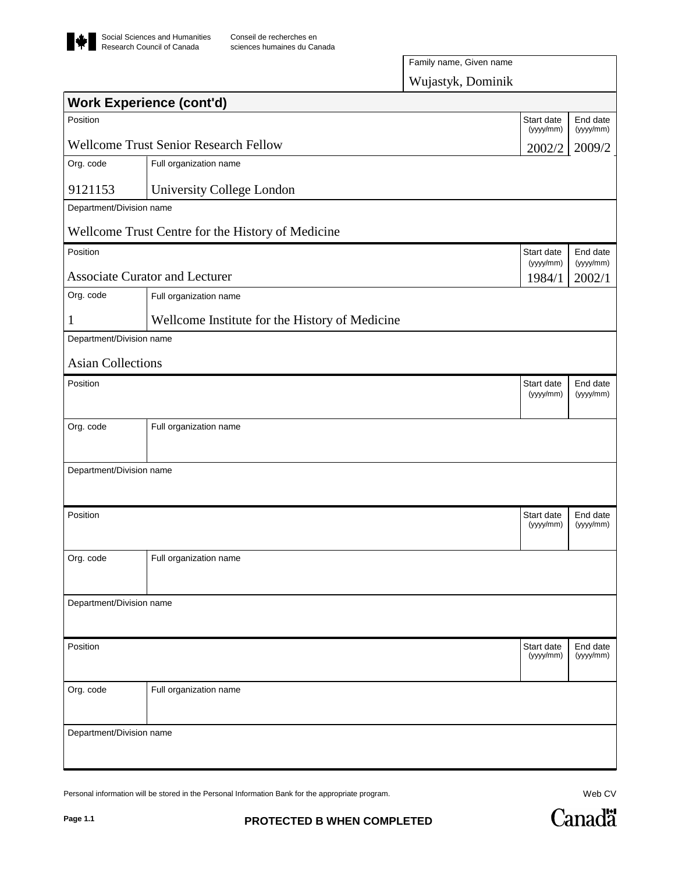

|                          | <b>Work Experience (cont'd)</b>                   |                         |                       |
|--------------------------|---------------------------------------------------|-------------------------|-----------------------|
| Position                 |                                                   | Start date<br>(yyyy/mm) | End date<br>(yyyy/mm) |
|                          | <b>Wellcome Trust Senior Research Fellow</b>      | 2002/2                  | 2009/2                |
| Org. code                | Full organization name                            |                         |                       |
| 9121153                  | University College London                         |                         |                       |
| Department/Division name |                                                   |                         |                       |
|                          | Wellcome Trust Centre for the History of Medicine |                         |                       |
| Position                 |                                                   | Start date              | End date              |
|                          | <b>Associate Curator and Lecturer</b>             | (yyyy/mm)<br>1984/1     | (yyyy/mm)<br>2002/1   |
| Org. code                | Full organization name                            |                         |                       |
|                          |                                                   |                         |                       |
| $\mathbf{1}$             | Wellcome Institute for the History of Medicine    |                         |                       |
| Department/Division name |                                                   |                         |                       |
| <b>Asian Collections</b> |                                                   |                         |                       |
| Position                 |                                                   | Start date              | End date              |
|                          |                                                   | (yyyy/mm)               | (yyyy/mm)             |
| Org. code                | Full organization name                            |                         |                       |
|                          |                                                   |                         |                       |
|                          |                                                   |                         |                       |
| Department/Division name |                                                   |                         |                       |
|                          |                                                   |                         |                       |
| Position                 |                                                   | Start date              | End date              |
|                          |                                                   | (yyyy/mm)               | (yyyy/mm)             |
| Org. code                | Full organization name                            |                         |                       |
|                          |                                                   |                         |                       |
|                          |                                                   |                         |                       |
| Department/Division name |                                                   |                         |                       |
|                          |                                                   |                         |                       |
| Position                 |                                                   | Start date<br>(yyyy/mm) | End date<br>(yyyy/mm) |
|                          |                                                   |                         |                       |
| Org. code                | Full organization name                            |                         |                       |
|                          |                                                   |                         |                       |
|                          |                                                   |                         |                       |
| Department/Division name |                                                   |                         |                       |
|                          |                                                   |                         |                       |

Personal information will be stored in the Personal Information Bank for the appropriate program.

Web CV

Canadä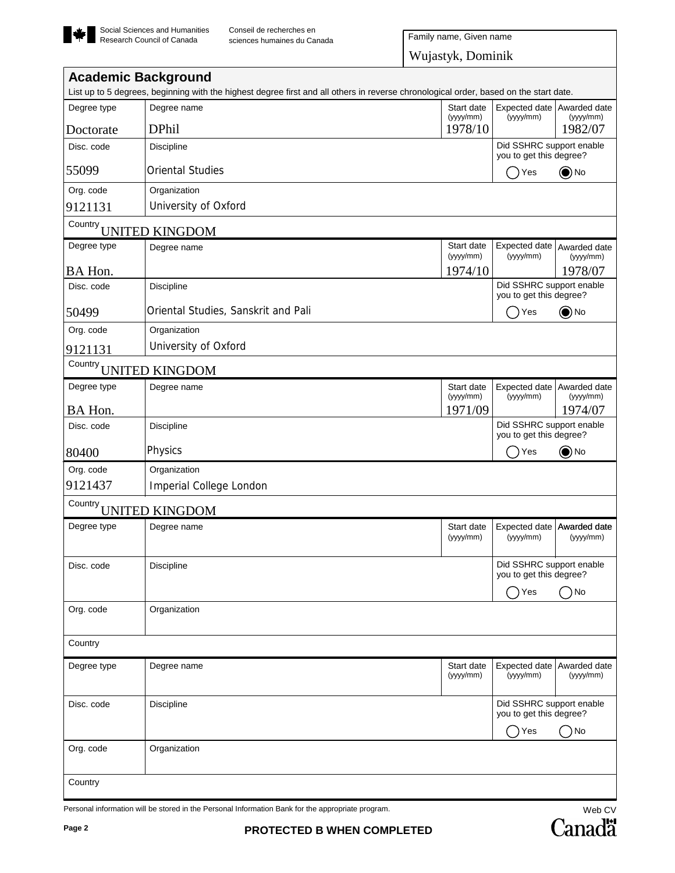

Wujastyk, Dominik

| <b>Academic Background</b> |                                                                                                                                       |                         |                                                     |                      |
|----------------------------|---------------------------------------------------------------------------------------------------------------------------------------|-------------------------|-----------------------------------------------------|----------------------|
|                            | List up to 5 degrees, beginning with the highest degree first and all others in reverse chronological order, based on the start date. |                         |                                                     |                      |
| Degree type                | Degree name                                                                                                                           | Start date<br>(yyyy/mm) | Expected date Awarded date<br>(yyyy/mm)             | (yyyy/mm)            |
| Doctorate                  | <b>DPhil</b>                                                                                                                          | 1978/10                 |                                                     | 1982/07              |
| Disc. code                 | Discipline                                                                                                                            |                         | Did SSHRC support enable<br>you to get this degree? |                      |
| 55099                      | Oriental Studies                                                                                                                      |                         | Yes                                                 | $\odot$ No           |
| Org. code                  | Organization                                                                                                                          |                         |                                                     |                      |
| 9121131                    | University of Oxford                                                                                                                  |                         |                                                     |                      |
|                            | Country UNITED KINGDOM                                                                                                                |                         |                                                     |                      |
| Degree type                | Degree name                                                                                                                           | Start date              | Expected date                                       | Awarded date         |
| BA Hon.                    |                                                                                                                                       | (yyyy/mm)<br>1974/10    | (yyyy/mm)                                           | (yyyy/mm)<br>1978/07 |
| Disc. code                 | <b>Discipline</b>                                                                                                                     |                         | Did SSHRC support enable                            |                      |
|                            |                                                                                                                                       |                         | you to get this degree?                             |                      |
| 50499                      | Oriental Studies, Sanskrit and Pali                                                                                                   |                         | Yes                                                 | $\odot$ No           |
| Org. code                  | Organization                                                                                                                          |                         |                                                     |                      |
| 9121131                    | University of Oxford                                                                                                                  |                         |                                                     |                      |
|                            | Country UNITED KINGDOM                                                                                                                |                         |                                                     |                      |
| Degree type                | Degree name                                                                                                                           | Start date              | Expected date Awarded date                          |                      |
| BA Hon.                    |                                                                                                                                       | (yyyy/mm)<br>1971/09    | (yyyy/mm)                                           | (yyyy/mm)<br>1974/07 |
| Disc. code                 | <b>Discipline</b>                                                                                                                     |                         | Did SSHRC support enable                            |                      |
|                            |                                                                                                                                       |                         | you to get this degree?                             |                      |
| 80400                      | Physics                                                                                                                               |                         | Yes<br>$\rightarrow$                                | $\odot$ No           |
| Org. code                  | Organization                                                                                                                          |                         |                                                     |                      |
| 9121437                    | Imperial College London                                                                                                               |                         |                                                     |                      |
| Country                    | <b>UNITED KINGDOM</b>                                                                                                                 |                         |                                                     |                      |
| Degree type                | Degree name                                                                                                                           | Start date<br>(yyyy/mm) | Expected date   Awarded date<br>(yyyy/mm)           | (yyy/mm)             |
| Disc. code                 | Discipline                                                                                                                            |                         | Did SSHRC support enable<br>you to get this degree? |                      |
|                            |                                                                                                                                       |                         | Yes                                                 | $\bigcirc$ No        |
| Org. code                  | Organization                                                                                                                          |                         |                                                     |                      |
| Country                    |                                                                                                                                       |                         |                                                     |                      |
| Degree type                | Degree name                                                                                                                           | Start date              | Expected date   Awarded date                        |                      |
|                            |                                                                                                                                       | (yyyy/mm)               | (yyyy/mm)                                           | (yyyy/mm)            |
| Disc. code                 | Discipline                                                                                                                            |                         | Did SSHRC support enable                            |                      |
|                            |                                                                                                                                       |                         | you to get this degree?<br>Yes                      | ()No                 |
| Org. code                  | Organization                                                                                                                          |                         |                                                     |                      |
|                            |                                                                                                                                       |                         |                                                     |                      |

Personal information will be stored in the Personal Information Bank for the appropriate program.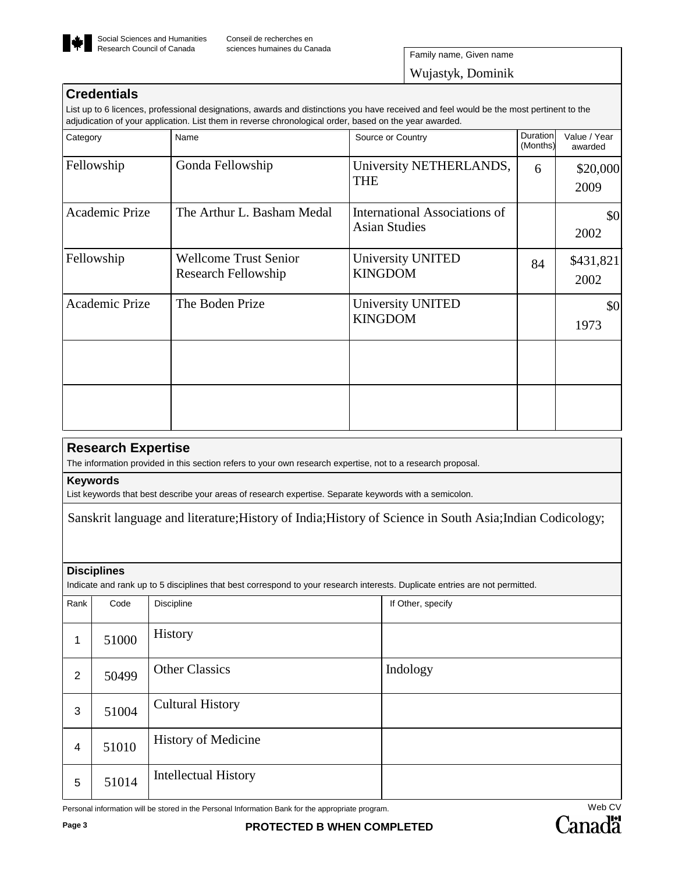

Wujastyk, Dominik Family name, Given name

## **Credentials**

List up to 6 licences, professional designations, awards and distinctions you have received and feel would be the most pertinent to the adjudication of your application. List them in reverse chronological order, based on the year awarded.

| Category       | Name                                                | Source or Country                                     | Duration<br>(Months) | Value / Year<br>awarded                     |
|----------------|-----------------------------------------------------|-------------------------------------------------------|----------------------|---------------------------------------------|
| Fellowship     | Gonda Fellowship                                    | University NETHERLANDS,<br><b>THE</b>                 | 6                    | \$20,000<br>2009                            |
| Academic Prize | The Arthur L. Basham Medal                          | International Associations of<br><b>Asian Studies</b> |                      | $\vert \mathbf{S} \mathbf{O} \vert$<br>2002 |
| Fellowship     | <b>Wellcome Trust Senior</b><br>Research Fellowship | University UNITED<br><b>KINGDOM</b>                   | 84                   | \$431,821<br>2002                           |
| Academic Prize | The Boden Prize                                     | University UNITED<br><b>KINGDOM</b>                   |                      | $\vert \$\text{O}\vert$<br>1973             |
|                |                                                     |                                                       |                      |                                             |
|                |                                                     |                                                       |                      |                                             |

#### **Research Expertise**

The information provided in this section refers to your own research expertise, not to a research proposal.

**Keywords**

List keywords that best describe your areas of research expertise. Separate keywords with a semicolon.

Sanskrit language and literature;History of India;History of Science in South Asia;Indian Codicology;

#### **Disciplines**

Indicate and rank up to 5 disciplines that best correspond to your research interests. Duplicate entries are not permitted.

| Rank                    | Code  | Discipline                  | If Other, specify |
|-------------------------|-------|-----------------------------|-------------------|
| 1                       | 51000 | History                     |                   |
| $\overline{2}$          | 50499 | <b>Other Classics</b>       | Indology          |
| 3                       | 51004 | <b>Cultural History</b>     |                   |
| $\overline{\mathbf{4}}$ | 51010 | <b>History of Medicine</b>  |                   |
| 5                       | 51014 | <b>Intellectual History</b> |                   |

Personal information will be stored in the Personal Information Bank for the appropriate program.<br>Page 3 **PROTECTED B WHEN COMPLETED Canada**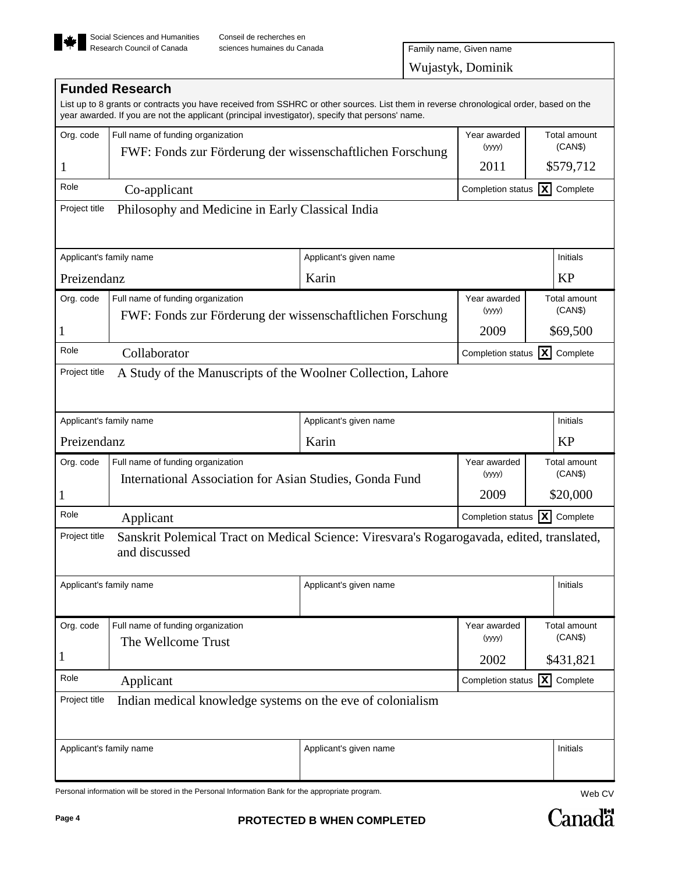

sciences humaines du Canada Conseil de recherches en

Wujastyk, Dominik Family name, Given name

|                                                                   | <b>Funded Research</b>                                                                                                                                                                                                                     |                        |                        |                                                       |  |  |
|-------------------------------------------------------------------|--------------------------------------------------------------------------------------------------------------------------------------------------------------------------------------------------------------------------------------------|------------------------|------------------------|-------------------------------------------------------|--|--|
|                                                                   | List up to 8 grants or contracts you have received from SSHRC or other sources. List them in reverse chronological order, based on the<br>year awarded. If you are not the applicant (principal investigator), specify that persons' name. |                        |                        |                                                       |  |  |
| Org. code                                                         | Full name of funding organization                                                                                                                                                                                                          |                        | Year awarded<br>(yyyy) | Total amount<br>(CAN\$)                               |  |  |
| 1                                                                 | FWF: Fonds zur Förderung der wissenschaftlichen Forschung                                                                                                                                                                                  |                        | 2011                   | \$579,712                                             |  |  |
| Role                                                              | Co-applicant                                                                                                                                                                                                                               |                        |                        | $\overline{\mathbf{X}}$ Complete<br>Completion status |  |  |
| Philosophy and Medicine in Early Classical India<br>Project title |                                                                                                                                                                                                                                            |                        |                        |                                                       |  |  |
| Applicant's family name                                           |                                                                                                                                                                                                                                            | Applicant's given name |                        | Initials                                              |  |  |
| Preizendanz                                                       |                                                                                                                                                                                                                                            | Karin                  |                        | <b>KP</b>                                             |  |  |
| Org. code                                                         | Full name of funding organization                                                                                                                                                                                                          |                        | Year awarded<br>(yyyy) | <b>Total amount</b><br>(CAN\$)                        |  |  |
|                                                                   | FWF: Fonds zur Förderung der wissenschaftlichen Forschung                                                                                                                                                                                  |                        |                        | \$69,500                                              |  |  |
| Role                                                              | 1                                                                                                                                                                                                                                          |                        |                        | x                                                     |  |  |
| Project title                                                     | Collaborator                                                                                                                                                                                                                               |                        | Completion status      | Complete                                              |  |  |
|                                                                   | A Study of the Manuscripts of the Woolner Collection, Lahore                                                                                                                                                                               |                        |                        |                                                       |  |  |
| Applicant's family name                                           |                                                                                                                                                                                                                                            | Applicant's given name |                        | Initials                                              |  |  |
| Preizendanz                                                       |                                                                                                                                                                                                                                            | Karin                  |                        | <b>KP</b>                                             |  |  |
| Org. code                                                         | Full name of funding organization<br>International Association for Asian Studies, Gonda Fund                                                                                                                                               |                        | Year awarded<br>(yyyy) | Total amount<br>(CAN\$)                               |  |  |
|                                                                   |                                                                                                                                                                                                                                            |                        | 2009                   | \$20,000                                              |  |  |
| Role                                                              | Applicant                                                                                                                                                                                                                                  |                        |                        | Completion status   X Complete                        |  |  |
| Project title                                                     | Sanskrit Polemical Tract on Medical Science: Viresvara's Rogarogavada, edited, translated,<br>and discussed                                                                                                                                |                        |                        |                                                       |  |  |
| Applicant's family name                                           |                                                                                                                                                                                                                                            | Applicant's given name |                        | Initials                                              |  |  |
| Org. code                                                         | Full name of funding organization                                                                                                                                                                                                          |                        | Year awarded<br>(yyyy) | <b>Total amount</b><br>(CAN\$)                        |  |  |
| $\mathbf{I}$                                                      | The Wellcome Trust                                                                                                                                                                                                                         |                        |                        |                                                       |  |  |
| Role                                                              |                                                                                                                                                                                                                                            |                        | 2002                   | \$431,821                                             |  |  |
|                                                                   | Applicant                                                                                                                                                                                                                                  |                        | Completion status      | x <br>Complete                                        |  |  |
| Project title                                                     | Indian medical knowledge systems on the eve of colonialism                                                                                                                                                                                 |                        |                        |                                                       |  |  |
| Applicant's family name                                           |                                                                                                                                                                                                                                            | Applicant's given name |                        | Initials                                              |  |  |

Personal information will be stored in the Personal Information Bank for the appropriate program.<br>Web CV

Canadä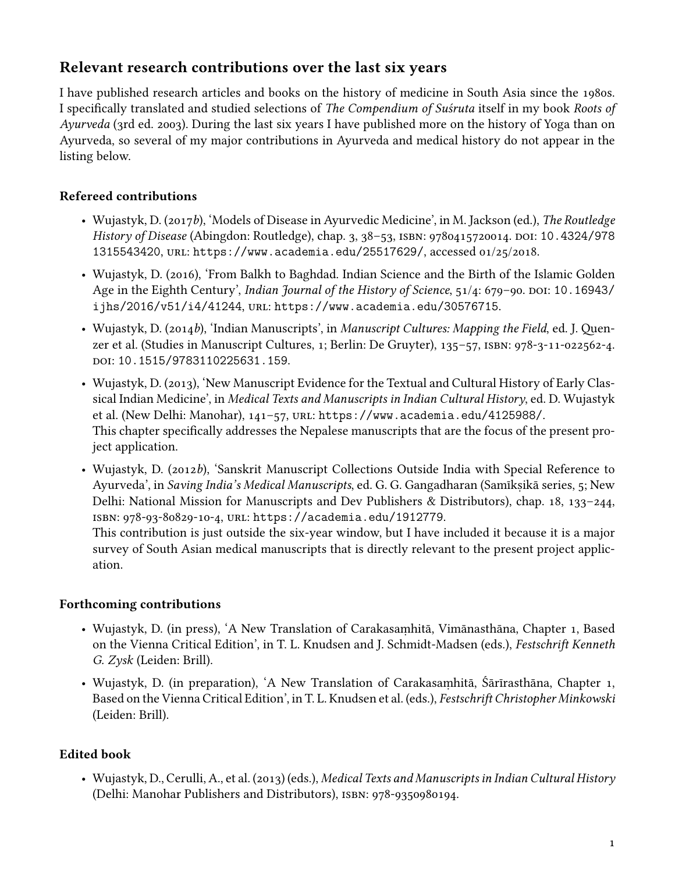# **Relevant research contributions over the last six years**

I have published research articles and books on the history of medicine in South Asia since the 1980s. I specifically translated and studied selections of *The Compendium of Suśruta* itself in my book *Roots of Ayurveda* (3rd ed. 2003). During the last six years I have published more on the history of Yoga than on Ayurveda, so several of my major contributions in Ayurveda and medical history do not appear in the listing below.

## **Refereed contributions**

- Wujastyk, D. (2017*b*), 'Models of Disease in Ayurvedic Medicine', in M. Jackson (ed.), *The Routledge History of Disease* (Abingdon: Routledge), chap. 3, 38–53, isbn: 9780415720014. doi: 10.4324/978 1315543420, url: https://www.academia.edu/25517629/, accessed 01/25/2018.
- Wujastyk, D. (2016), 'From Balkh to Baghdad. Indian Science and the Birth of the Islamic Golden Age in the Eighth Century', *Indian Journal of the History of Science*, 51/4: 679–90. doi: 10.16943/ ijhs/2016/v51/i4/41244, url: https://www.academia.edu/30576715.
- Wujastyk, D. (2014*b*), 'Indian Manuscripts', in *Manuscript Cultures: Mapping the Field*, ed. J. Quenzer et al. (Studies in Manuscript Cultures, 1; Berlin: De Gruyter), 135–57, isbn: 978-3-11-022562-4. doi: 10.1515/9783110225631.159.
- Wujastyk, D. (2013), 'New Manuscript Evidence for the Textual and Cultural History of Early Classical Indian Medicine', in *Medical Texts and Manuscripts in Indian Cultural History*, ed. D. Wujastyk et al. (New Delhi: Manohar), 141–57, url: https://www.academia.edu/4125988/. This chapter specifically addresses the Nepalese manuscripts that are the focus of the present project application.
- Wujastyk, D. (2012*b*), 'Sanskrit Manuscript Collections Outside India with Special Reference to Ayurveda', in *Saving India's Medical Manuscripts*, ed. G. G. Gangadharan (Samīkṣikā series, 5; New Delhi: National Mission for Manuscripts and Dev Publishers & Distributors), chap. 18, 133–244, isbn: 978-93-80829-10-4, url: https://academia.edu/1912779.

This contribution is just outside the six-year window, but I have included it because it is a major survey of South Asian medical manuscripts that is directly relevant to the present project application.

# **Forthcoming contributions**

- Wujastyk, D. (in press), 'A New Translation of Carakasaṃhitā, Vimānasthāna, Chapter 1, Based on the Vienna Critical Edition', in T. L. Knudsen and J. Schmidt-Madsen (eds.), *Festschrift Kenneth G. Zysk* (Leiden: Brill).
- Wujastyk, D. (in preparation), 'A New Translation of Carakasaṃhitā, Śārīrasthāna, Chapter 1, Based on the Vienna Critical Edition', in T. L. Knudsen et al. (eds.), *Festschrift Christopher Minkowski* (Leiden: Brill).

# **Edited book**

• Wujastyk, D., Cerulli, A., et al. (2013) (eds.), *Medical Texts and Manuscriptsin Indian Cultural History* (Delhi: Manohar Publishers and Distributors), isbn: 978-9350980194.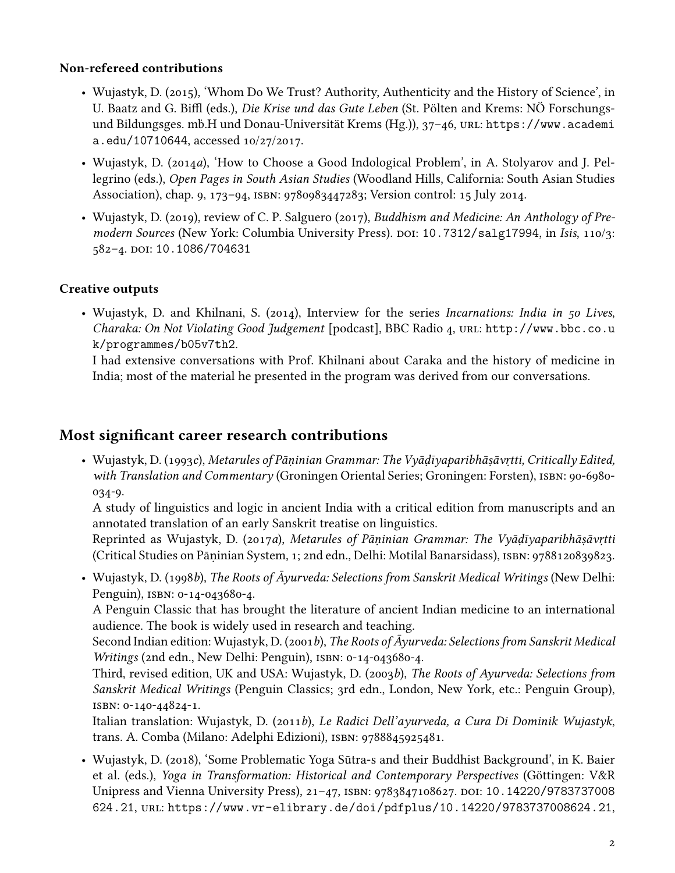### **Non-refereed contributions**

- Wujastyk, D. (2015), 'Whom Do We Trust? Authority, Authenticity and the History of Science', in U. Baatz and G. Biffl (eds.), *Die Krise und das Gute Leben* (St. Pölten and Krems: NÖ Forschungsund Bildungsges. mb.H und Donau-Universität Krems (Hg.)), 37-46, URL: https://www.academi a.edu/10710644, accessed 10/27/2017.
- Wujastyk, D. (2014*a*), 'How to Choose a Good Indological Problem', in A. Stolyarov and J. Pellegrino (eds.), *Open Pages in South Asian Studies* (Woodland Hills, California: South Asian Studies Association), chap. 9, 173–94, isbn: 9780983447283; Version control: 15 July 2014.
- Wujastyk, D. (2019), review of C. P. Salguero (2017), *Buddhism and Medicine: An Anthology of Premodern Sources* (New York: Columbia University Press). doi: 10.7312/salg17994, in *Isis*, 110/3: 582–4. doi: 10.1086/704631

## **Creative outputs**

• Wujastyk, D. and Khilnani, S. (2014), Interview for the series *Incarnations: India in 50 Lives*, *Charaka: On Not Violating Good Judgement* [podcast], BBC Radio 4, url: http://www.bbc.co.u k/programmes/b05v7th2.

I had extensive conversations with Prof. Khilnani about Caraka and the history of medicine in India; most of the material he presented in the program was derived from our conversations.

# **Most significant career research contributions**

• Wujastyk, D. (1993*c*), *Metarules of Pāṇinian Grammar: The Vyāḍīyaparibhāṣāvṛtti, Critically Edited, with Translation and Commentary* (Groningen Oriental Series; Groningen: Forsten), isbn: 90-6980-034-9.

A study of linguistics and logic in ancient India with a critical edition from manuscripts and an annotated translation of an early Sanskrit treatise on linguistics.

Reprinted as Wujastyk, D. (2017*a*), *Metarules of Pāṇinian Grammar: The Vyāḍīyaparibhāṣāvṛtti* (Critical Studies on Pāṇinian System, 1; 2nd edn., Delhi: Motilal Banarsidass), isbn: 9788120839823.

• Wujastyk, D. (1998*b*), *The Roots of Āyurveda: Selections from Sanskrit Medical Writings* (New Delhi: Penguin), ISBN: 0-14-043680-4.

A Penguin Classic that has brought the literature of ancient Indian medicine to an international audience. The book is widely used in research and teaching.

Second Indian edition: Wujastyk, D. (2001*b*), *The Roots of Āyurveda: Selections from Sanskrit Medical Writings* (2nd edn., New Delhi: Penguin), ISBN: 0-14-043680-4.

Third, revised edition, UK and USA: Wujastyk, D. (2003*b*), *The Roots of Ayurveda: Selections from Sanskrit Medical Writings* (Penguin Classics; 3rd edn., London, New York, etc.: Penguin Group), isbn: 0-140-44824-1.

Italian translation: Wujastyk, D. (2011*b*), *Le Radici Dell'ayurveda, a Cura Di Dominik Wujastyk*, trans. A. Comba (Milano: Adelphi Edizioni), isbn: 9788845925481.

• Wujastyk, D. (2018), 'Some Problematic Yoga Sūtra-s and their Buddhist Background', in K. Baier et al. (eds.), *Yoga in Transformation: Historical and Contemporary Perspectives* (Göttingen: V&R Unipress and Vienna University Press), 21-47, ISBN: 9783847108627. DOI: 10.14220/9783737008 624.21, url: https://www.vr-elibrary.de/doi/pdfplus/10.14220/9783737008624.21,